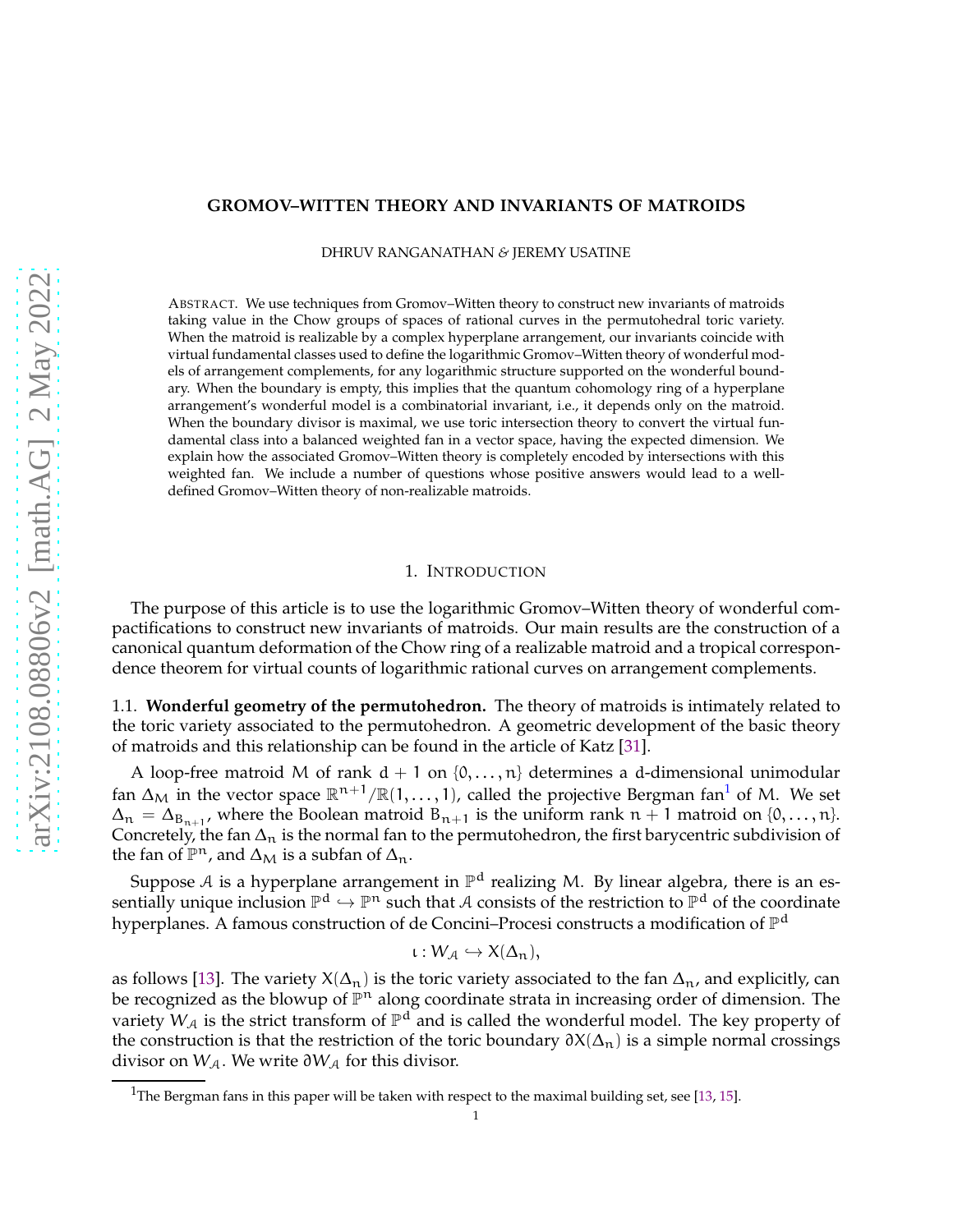## <span id="page-0-1"></span>**GROMOV–WITTEN THEORY AND INVARIANTS OF MATROIDS**

DHRUV RANGANATHAN *&* JEREMY USATINE

ABSTRACT. We use techniques from Gromov–Witten theory to construct new invariants of matroids taking value in the Chow groups of spaces of rational curves in the permutohedral toric variety. When the matroid is realizable by a complex hyperplane arrangement, our invariants coincide with virtual fundamental classes used to define the logarithmic Gromov–Witten theory of wonderful models of arrangement complements, for any logarithmic structure supported on the wonderful boundary. When the boundary is empty, this implies that the quantum cohomology ring of a hyperplane arrangement's wonderful model is a combinatorial invariant, i.e., it depends only on the matroid. When the boundary divisor is maximal, we use toric intersection theory to convert the virtual fundamental class into a balanced weighted fan in a vector space, having the expected dimension. We explain how the associated Gromov–Witten theory is completely encoded by intersections with this weighted fan. We include a number of questions whose positive answers would lead to a welldefined Gromov–Witten theory of non-realizable matroids.

#### 1. INTRODUCTION

The purpose of this article is to use the logarithmic Gromov–Witten theory of wonderful compactifications to construct new invariants of matroids. Our main results are the construction of a canonical quantum deformation of the Chow ring of a realizable matroid and a tropical correspondence theorem for virtual counts of logarithmic rational curves on arrangement complements.

1.1. **Wonderful geometry of the permutohedron.** The theory of matroids is intimately related to the toric variety associated to the permutohedron. A geometric development of the basic theory of matroids and this relationship can be found in the article of Katz [\[31\]](#page-21-0).

A loop-free matroid M of rank  $d + 1$  on  $\{0, \ldots, n\}$  determines a d-dimensional unimodular fan  $\Delta_{\rm M}$  in the vector space  $\mathbb{R}^{n+1}/\mathbb{R}(1,\ldots,1)$  $\mathbb{R}^{n+1}/\mathbb{R}(1,\ldots,1)$  $\mathbb{R}^{n+1}/\mathbb{R}(1,\ldots,1)$ , called the projective Bergman fan $^1$  of M. We set  $\Delta_n = \Delta_{B_{n+1}}$ , where the Boolean matroid  $B_{n+1}$  is the uniform rank  $n+1$  matroid on  $\{0,\ldots,n\}$ . Concretely, the fan  $\Delta_n$  is the normal fan to the permutohedron, the first barycentric subdivision of the fan of  $\mathbb{P}^n$ , and  $\Delta_M$  is a subfan of  $\Delta_n$ .

Suppose A is a hyperplane arrangement in  $\mathbb{P}^d$  realizing M. By linear algebra, there is an essentially unique inclusion  $\mathbb{P}^d \hookrightarrow \mathbb{P}^n$  such that A consists of the restriction to  $\mathbb{P}^d$  of the coordinate hyperplanes. A famous construction of de Concini–Procesi constructs a modification of  $\mathbb{P}^{\rm d}$ 

$$
\iota: W_{\mathcal{A}} \hookrightarrow X(\Delta_n),
$$

as follows [\[13\]](#page-21-1). The variety  $X(\Delta_n)$  is the toric variety associated to the fan  $\Delta_n$ , and explicitly, can be recognized as the blowup of  $\mathbb{P}^n$  along coordinate strata in increasing order of dimension. The variety  $W_{\mathcal{A}}$  is the strict transform of  $\mathbb{P}^d$  and is called the wonderful model. The key property of the construction is that the restriction of the toric boundary  $\partial X(\Delta_n)$  is a simple normal crossings divisor on W<sub>A</sub>. We write  $\partial W_A$  for this divisor.

<span id="page-0-0"></span><sup>&</sup>lt;sup>1</sup>The Bergman fans in this paper will be taken with respect to the maximal building set, see [\[13,](#page-21-1) [15\]](#page-21-2).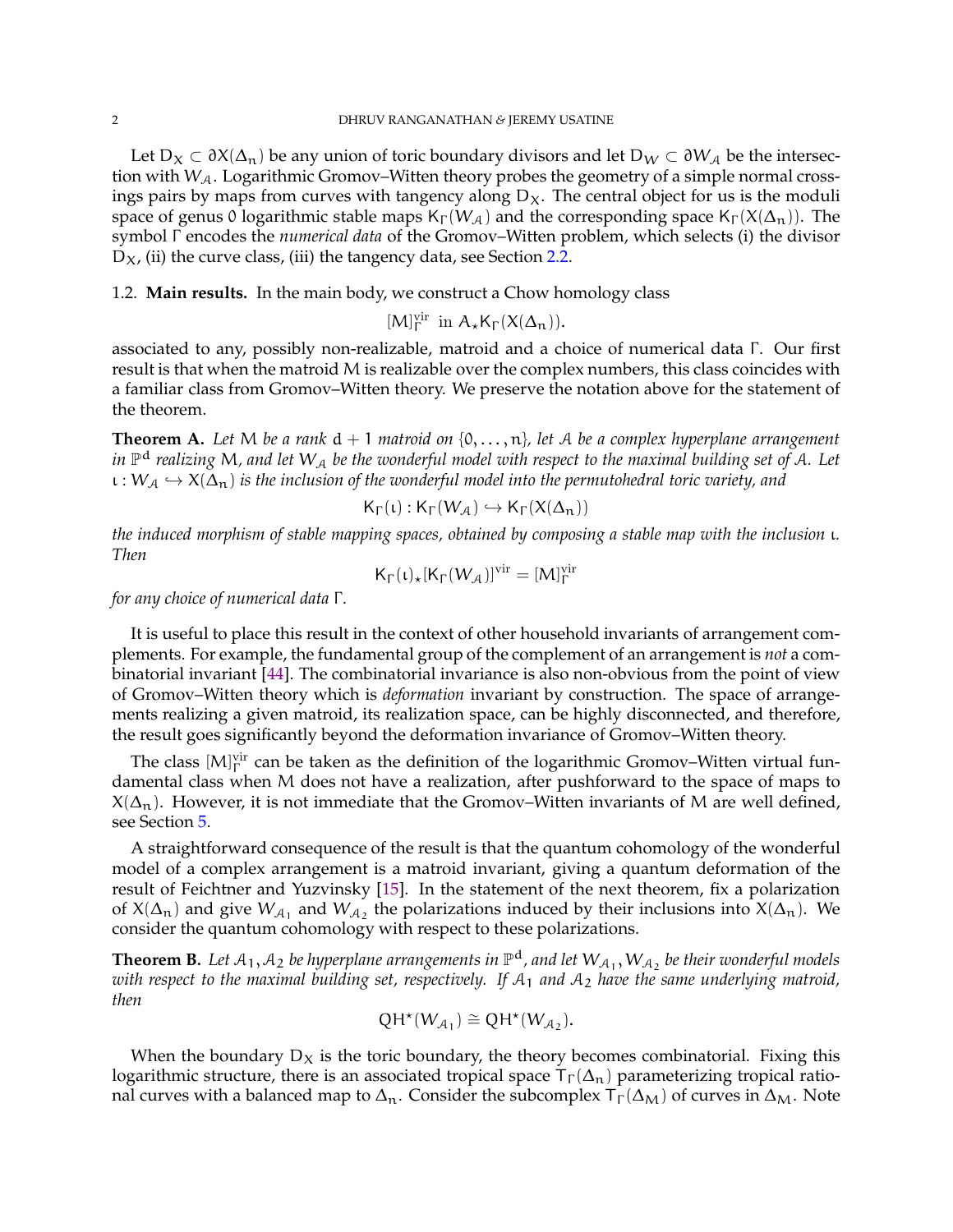<span id="page-1-2"></span>Let  $D_X \subset \partial X(\Delta_n)$  be any union of toric boundary divisors and let  $D_W \subset \partial W_A$  be the intersection with  $W_A$ . Logarithmic Gromov–Witten theory probes the geometry of a simple normal crossings pairs by maps from curves with tangency along  $D<sub>X</sub>$ . The central object for us is the moduli space of genus 0 logarithmic stable maps  $K_{\Gamma}(W_{\mathcal{A}})$  and the corresponding space  $K_{\Gamma}(X(\Delta_n))$ . The symbol Γ encodes the *numerical data* of the Gromov–Witten problem, which selects (i) the divisor  $D_X$ , (ii) the curve class, (iii) the tangency data, see Section [2.2.](#page-3-0)

1.2. **Main results.** In the main body, we construct a Chow homology class

 $[M]_{\Gamma}^{vir}$  in  $A_{\star}K_{\Gamma}(X(\Delta_{n})).$ 

associated to any, possibly non-realizable, matroid and a choice of numerical data Γ . Our first result is that when the matroid M is realizable over the complex numbers, this class coincides with a familiar class from Gromov–Witten theory. We preserve the notation above for the statement of the theorem.

<span id="page-1-0"></span>**Theorem A.** *Let* M *be a rank* d + 1 *matroid on* {0, . . . , n}*, let* A *be a complex hyperplane arrangement in* P <sup>d</sup> *realizing* M*, and let* W<sup>A</sup> *be the wonderful model with respect to the maximal building set of* A*. Let*  $\iota: W_{\mathcal{A}} \hookrightarrow X(\Delta_n)$  *is the inclusion of the wonderful model into the permutohedral toric variety, and* 

$$
\mathsf{K}_{\Gamma}(\iota): \mathsf{K}_{\Gamma}(W_{\mathcal{A}}) \hookrightarrow \mathsf{K}_{\Gamma}(X(\Delta_n))
$$

*the induced morphism of stable mapping spaces, obtained by composing a stable map with the inclusion* ι*. Then*

$$
K_{\Gamma}(\iota)_{\star} [K_{\Gamma}(W_{\mathcal{A}})]^{\mathrm{vir}} = [M]_{\Gamma}^{\mathrm{vir}}
$$

*for any choice of numerical data* Γ *.*

It is useful to place this result in the context of other household invariants of arrangement complements. For example, the fundamental group of the complement of an arrangement is *not* a combinatorial invariant [\[44\]](#page-22-0). The combinatorial invariance is also non-obvious from the point of view of Gromov–Witten theory which is *deformation* invariant by construction. The space of arrangements realizing a given matroid, its realization space, can be highly disconnected, and therefore, the result goes significantly beyond the deformation invariance of Gromov–Witten theory.

The class  $[M]_\Gamma^{\text{vir}}$  can be taken as the definition of the logarithmic Gromov–Witten virtual fundamental class when M does not have a realization, after pushforward to the space of maps to  $X(\Delta_n)$ . However, it is not immediate that the Gromov–Witten invariants of M are well defined, see Section [5.](#page-19-0)

A straightforward consequence of the result is that the quantum cohomology of the wonderful model of a complex arrangement is a matroid invariant, giving a quantum deformation of the result of Feichtner and Yuzvinsky [\[15\]](#page-21-2). In the statement of the next theorem, fix a polarization of  $X(\Delta_n)$  and give  $W_{\mathcal{A}_1}$  and  $W_{\mathcal{A}_2}$  the polarizations induced by their inclusions into  $X(\Delta_n)$ . We consider the quantum cohomology with respect to these polarizations.

<span id="page-1-1"></span>**Theorem B.** Let  $A_1, A_2$  be hyperplane arrangements in  $\mathbb{P}^d$ , and let  $W_{A_1}, W_{A_2}$  be their wonderful models *with respect to the maximal building set, respectively. If* A<sup>1</sup> *and* A<sup>2</sup> *have the same underlying matroid, then*

$$
QH^*(W_{\mathcal{A}_1}) \cong QH^*(W_{\mathcal{A}_2}).
$$

When the boundary  $D_X$  is the toric boundary, the theory becomes combinatorial. Fixing this logarithmic structure, there is an associated tropical space  $T_{\Gamma}(\Delta_n)$  parameterizing tropical rational curves with a balanced map to  $\Delta_n$ . Consider the subcomplex  $T_{\Gamma}(\Delta_M)$  of curves in  $\Delta_M$ . Note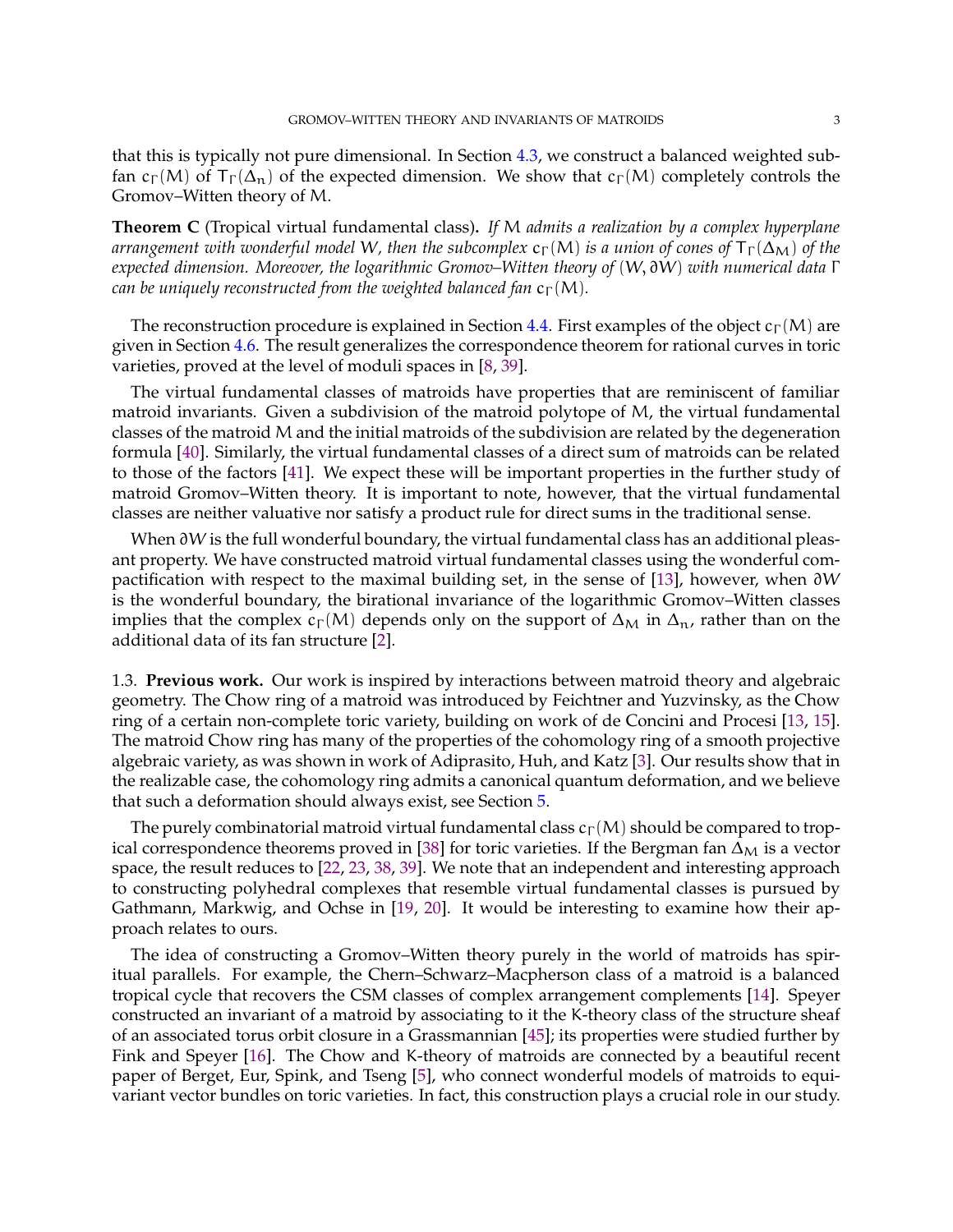<span id="page-2-0"></span>that this is typically not pure dimensional. In Section [4.3,](#page-12-0) we construct a balanced weighted subfan  $c_{\Gamma}(M)$  of  $T_{\Gamma}(\Delta_n)$  of the expected dimension. We show that  $c_{\Gamma}(M)$  completely controls the Gromov–Witten theory of M.

**Theorem C** (Tropical virtual fundamental class)**.** *If* M *admits a realization by a complex hyperplane arrangement with wonderful model* W, then the subcomplex  $c_{\Gamma}(M)$  *is a union of cones of*  $T_{\Gamma}(\Delta_M)$  *of the expected dimension. Moreover, the logarithmic Gromov–Witten theory of* (W, ∂W) *with numerical data* Γ *can be uniquely reconstructed from the weighted balanced fan*  $c_{\Gamma}(M)$ *.* 

The reconstruction procedure is explained in Section [4.4.](#page-15-0) First examples of the object  $c_{\Gamma}(M)$  are given in Section [4.6.](#page-18-0) The result generalizes the correspondence theorem for rational curves in toric varieties, proved at the level of moduli spaces in [\[8,](#page-21-3) [39\]](#page-22-1).

The virtual fundamental classes of matroids have properties that are reminiscent of familiar matroid invariants. Given a subdivision of the matroid polytope of M, the virtual fundamental classes of the matroid M and the initial matroids of the subdivision are related by the degeneration formula [\[40\]](#page-22-2). Similarly, the virtual fundamental classes of a direct sum of matroids can be related to those of the factors [\[41\]](#page-22-3). We expect these will be important properties in the further study of matroid Gromov–Witten theory. It is important to note, however, that the virtual fundamental classes are neither valuative nor satisfy a product rule for direct sums in the traditional sense.

When ∂W is the full wonderful boundary, the virtual fundamental class has an additional pleasant property. We have constructed matroid virtual fundamental classes using the wonderful compactification with respect to the maximal building set, in the sense of [\[13\]](#page-21-1), however, when ∂W is the wonderful boundary, the birational invariance of the logarithmic Gromov–Witten classes implies that the complex  $c_{\Gamma}(M)$  depends only on the support of  $\Delta_M$  in  $\Delta_n$ , rather than on the additional data of its fan structure [\[2\]](#page-20-0).

1.3. **Previous work.** Our work is inspired by interactions between matroid theory and algebraic geometry. The Chow ring of a matroid was introduced by Feichtner and Yuzvinsky, as the Chow ring of a certain non-complete toric variety, building on work of de Concini and Procesi [\[13,](#page-21-1) [15\]](#page-21-2). The matroid Chow ring has many of the properties of the cohomology ring of a smooth projective algebraic variety, as was shown in work of Adiprasito, Huh, and Katz [\[3\]](#page-20-1). Our results show that in the realizable case, the cohomology ring admits a canonical quantum deformation, and we believe that such a deformation should always exist, see Section [5.](#page-19-0)

The purely combinatorial matroid virtual fundamental class  $c_{\Gamma}(M)$  should be compared to trop-ical correspondence theorems proved in [\[38\]](#page-21-4) for toric varieties. If the Bergman fan  $\Delta_M$  is a vector space, the result reduces to [\[22,](#page-21-5) [23,](#page-21-6) [38,](#page-21-4) [39\]](#page-22-1). We note that an independent and interesting approach to constructing polyhedral complexes that resemble virtual fundamental classes is pursued by Gathmann, Markwig, and Ochse in [\[19,](#page-21-7) [20\]](#page-21-8). It would be interesting to examine how their approach relates to ours.

The idea of constructing a Gromov–Witten theory purely in the world of matroids has spiritual parallels. For example, the Chern–Schwarz–Macpherson class of a matroid is a balanced tropical cycle that recovers the CSM classes of complex arrangement complements [\[14\]](#page-21-9). Speyer constructed an invariant of a matroid by associating to it the K-theory class of the structure sheaf of an associated torus orbit closure in a Grassmannian [\[45\]](#page-22-4); its properties were studied further by Fink and Speyer [\[16\]](#page-21-10). The Chow and K-theory of matroids are connected by a beautiful recent paper of Berget, Eur, Spink, and Tseng [\[5\]](#page-20-2), who connect wonderful models of matroids to equivariant vector bundles on toric varieties. In fact, this construction plays a crucial role in our study.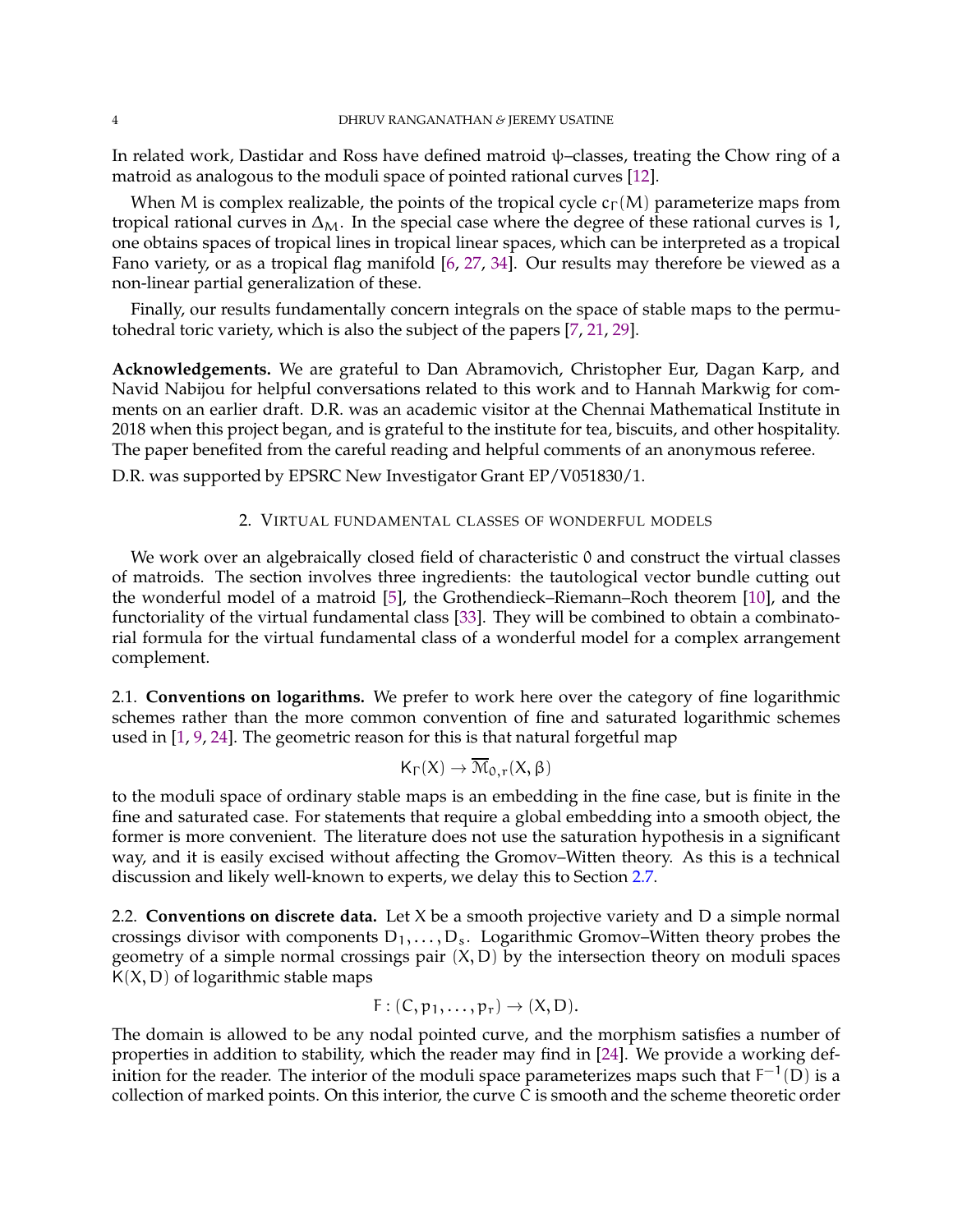<span id="page-3-1"></span>In related work, Dastidar and Ross have defined matroid  $\psi$ –classes, treating the Chow ring of a matroid as analogous to the moduli space of pointed rational curves [\[12\]](#page-21-11).

When M is complex realizable, the points of the tropical cycle  $c_{\Gamma}(M)$  parameterize maps from tropical rational curves in  $\Delta_M$ . In the special case where the degree of these rational curves is 1, one obtains spaces of tropical lines in tropical linear spaces, which can be interpreted as a tropical Fano variety, or as a tropical flag manifold [\[6,](#page-20-3) [27,](#page-21-12) [34\]](#page-21-13). Our results may therefore be viewed as a non-linear partial generalization of these.

Finally, our results fundamentally concern integrals on the space of stable maps to the permutohedral toric variety, which is also the subject of the papers [\[7,](#page-20-4) [21,](#page-21-14) [29\]](#page-21-15).

**Acknowledgements.** We are grateful to Dan Abramovich, Christopher Eur, Dagan Karp, and Navid Nabijou for helpful conversations related to this work and to Hannah Markwig for comments on an earlier draft. D.R. was an academic visitor at the Chennai Mathematical Institute in 2018 when this project began, and is grateful to the institute for tea, biscuits, and other hospitality. The paper benefited from the careful reading and helpful comments of an anonymous referee.

D.R. was supported by EPSRC New Investigator Grant EP/V051830/1.

### 2. VIRTUAL FUNDAMENTAL CLASSES OF WONDERFUL MODELS

We work over an algebraically closed field of characteristic 0 and construct the virtual classes of matroids. The section involves three ingredients: the tautological vector bundle cutting out the wonderful model of a matroid [\[5\]](#page-20-2), the Grothendieck–Riemann–Roch theorem [\[10\]](#page-21-16), and the functoriality of the virtual fundamental class [\[33\]](#page-21-17). They will be combined to obtain a combinatorial formula for the virtual fundamental class of a wonderful model for a complex arrangement complement.

2.1. **Conventions on logarithms.** We prefer to work here over the category of fine logarithmic schemes rather than the more common convention of fine and saturated logarithmic schemes used in [\[1,](#page-20-5) [9,](#page-21-18) [24\]](#page-21-19). The geometric reason for this is that natural forgetful map

$$
\mathsf{K}_{\Gamma}(X) \to \overline{\mathcal{M}}_{0,r}(X,\beta)
$$

to the moduli space of ordinary stable maps is an embedding in the fine case, but is finite in the fine and saturated case. For statements that require a global embedding into a smooth object, the former is more convenient. The literature does not use the saturation hypothesis in a significant way, and it is easily excised without affecting the Gromov–Witten theory. As this is a technical discussion and likely well-known to experts, we delay this to Section [2.7.](#page-9-0)

<span id="page-3-0"></span>2.2. **Conventions on discrete data.** Let X be a smooth projective variety and D a simple normal crossings divisor with components  $D_1, \ldots, D_s$ . Logarithmic Gromov–Witten theory probes the geometry of a simple normal crossings pair  $(X, D)$  by the intersection theory on moduli spaces  $K(X, D)$  of logarithmic stable maps

$$
F:(C,p_1,\ldots,p_r)\to (X,D).
$$

The domain is allowed to be any nodal pointed curve, and the morphism satisfies a number of properties in addition to stability, which the reader may find in [\[24\]](#page-21-19). We provide a working definition for the reader. The interior of the moduli space parameterizes maps such that  $F^{-1}(D)$  is a collection of marked points. On this interior, the curve C is smooth and the scheme theoretic order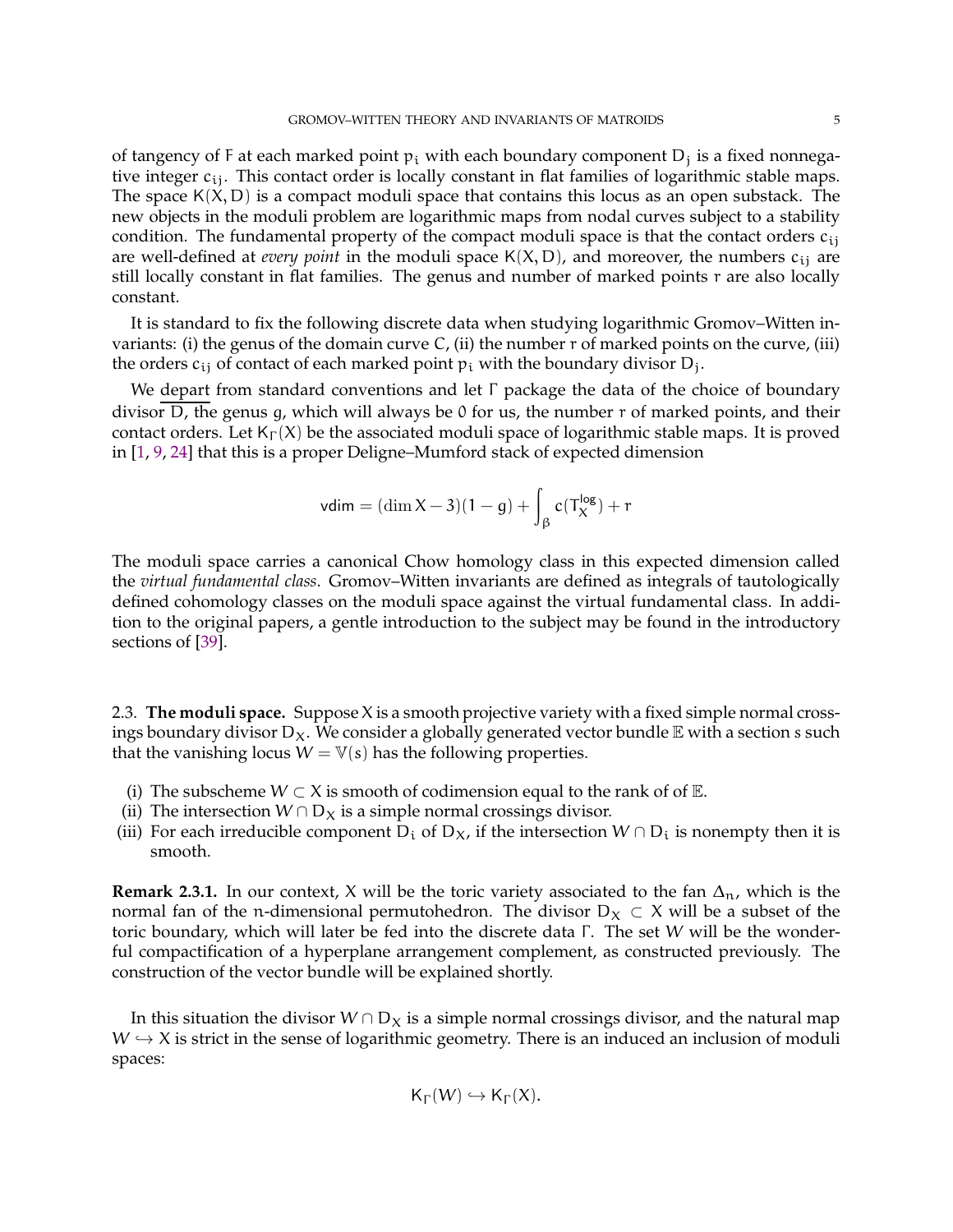<span id="page-4-0"></span>of tangency of F at each marked point  $p_i$  with each boundary component  $D_j$  is a fixed nonnegative integer  $c_{ij}$ . This contact order is locally constant in flat families of logarithmic stable maps. The space  $K(X, D)$  is a compact moduli space that contains this locus as an open substack. The new objects in the moduli problem are logarithmic maps from nodal curves subject to a stability condition. The fundamental property of the compact moduli space is that the contact orders  $c_{ij}$ are well-defined at *every point* in the moduli space  $K(X, D)$ , and moreover, the numbers  $c_{ij}$  are still locally constant in flat families. The genus and number of marked points r are also locally constant.

It is standard to fix the following discrete data when studying logarithmic Gromov–Witten invariants: (i) the genus of the domain curve  $C<sub>i</sub>$  (ii) the number r of marked points on the curve, (iii) the orders  $c_{ij}$  of contact of each marked point  $p_i$  with the boundary divisor  $D_j$ .

We depart from standard conventions and let  $\Gamma$  package the data of the choice of boundary divisor D, the genus g, which will always be 0 for us, the number r of marked points, and their contact orders. Let  $K_{\Gamma}(X)$  be the associated moduli space of logarithmic stable maps. It is proved in [\[1,](#page-20-5) [9,](#page-21-18) [24\]](#page-21-19) that this is a proper Deligne–Mumford stack of expected dimension

$$
vdim = (\dim X - 3)(1 - g) + \int_{\beta} c(T_X^{\log}) + r
$$

The moduli space carries a canonical Chow homology class in this expected dimension called the *virtual fundamental class*. Gromov–Witten invariants are defined as integrals of tautologically defined cohomology classes on the moduli space against the virtual fundamental class. In addition to the original papers, a gentle introduction to the subject may be found in the introductory sections of [\[39\]](#page-22-1).

2.3. **The moduli space.** Suppose X is a smooth projective variety with a fixed simple normal crossings boundary divisor  $D_X$ . We consider a globally generated vector bundle  $E$  with a section s such that the vanishing locus  $W = V(s)$  has the following properties.

- (i) The subscheme  $W \subset X$  is smooth of codimension equal to the rank of of  $E$ .
- (ii) The intersection  $W \cap D_X$  is a simple normal crossings divisor.
- (iii) For each irreducible component D<sub>i</sub> of D<sub>X</sub>, if the intersection  $W \cap D_i$  is nonempty then it is smooth.

**Remark 2.3.1.** In our context, X will be the toric variety associated to the fan  $\Delta_n$ , which is the normal fan of the n-dimensional permutohedron. The divisor  $D_X \subset X$  will be a subset of the toric boundary, which will later be fed into the discrete data Γ. The set W will be the wonderful compactification of a hyperplane arrangement complement, as constructed previously. The construction of the vector bundle will be explained shortly.

In this situation the divisor  $W \cap D_X$  is a simple normal crossings divisor, and the natural map  $W \hookrightarrow X$  is strict in the sense of logarithmic geometry. There is an induced an inclusion of moduli spaces:

$$
\mathsf{K}_\Gamma(W)\hookrightarrow \mathsf{K}_\Gamma(X).
$$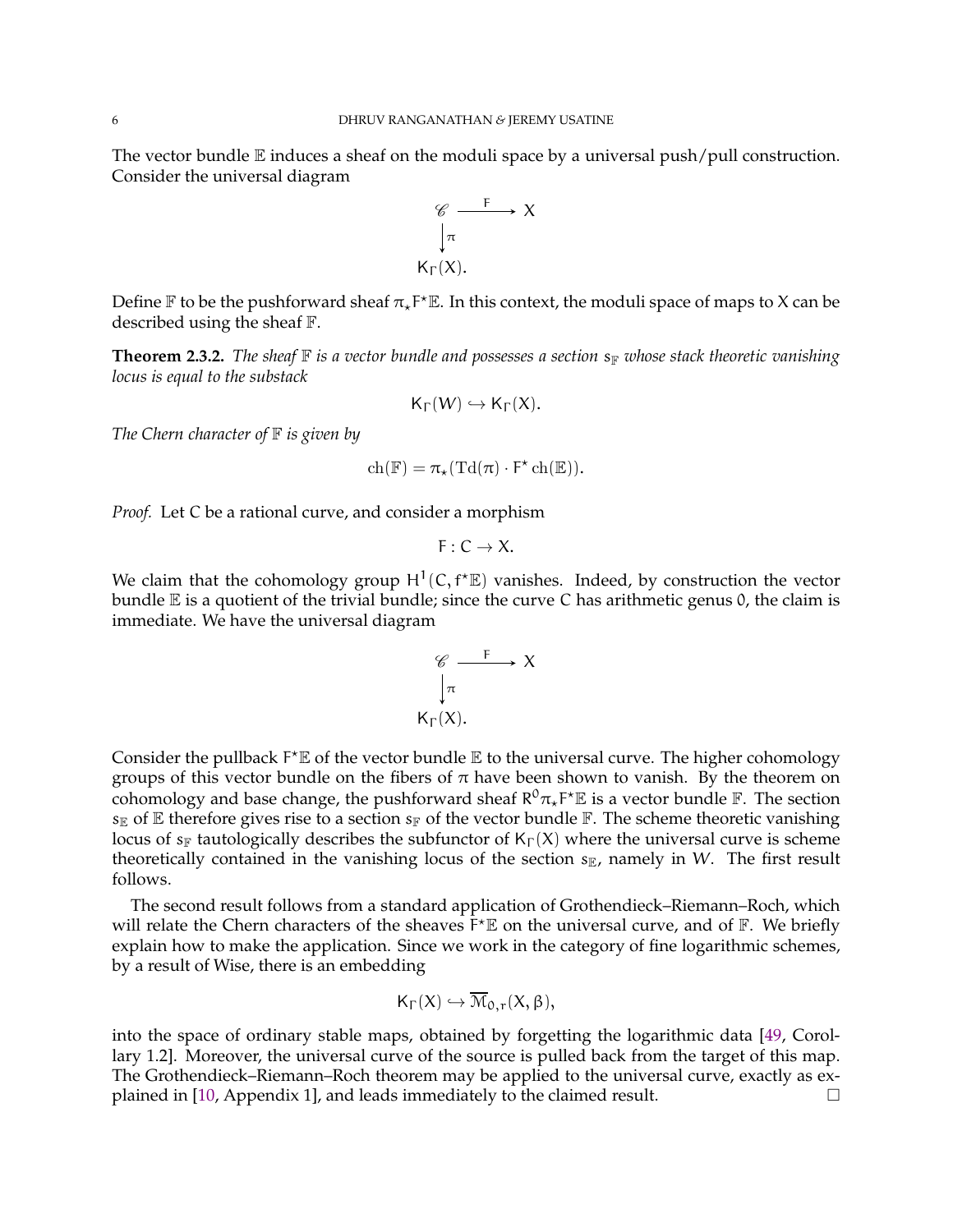<span id="page-5-1"></span>The vector bundle  $E$  induces a sheaf on the moduli space by a universal push/pull construction. Consider the universal diagram



Define  $\mathbb F$  to be the pushforward sheaf  $\pi_\star$ F<sup>\*</sup> $\mathbb E$ . In this context, the moduli space of maps to X can be described using the sheaf F.

<span id="page-5-0"></span>**Theorem 2.3.2.** *The sheaf*  $\mathbb{F}$  *is a vector bundle and possesses a section*  $s_{\mathbb{F}}$  *whose stack theoretic vanishing locus is equal to the substack*

$$
\mathsf{K}_\Gamma(W)\hookrightarrow \mathsf{K}_\Gamma(X).
$$

*The Chern character of*  $\mathbb F$  *is given by* 

$$
\mathrm{ch}(\mathbb{F}) = \pi_{\star}(\mathrm{Td}(\pi) \cdot F^{\star} \mathrm{ch}(\mathbb{E})).
$$

*Proof.* Let C be a rational curve, and consider a morphism

$$
F:C\to X.
$$

We claim that the cohomology group  $H^1(C, f^* \mathbb{E})$  vanishes. Indeed, by construction the vector bundle  $E$  is a quotient of the trivial bundle; since the curve C has arithmetic genus 0, the claim is immediate. We have the universal diagram

$$
\begin{array}{c}\n\mathscr{C} \xrightarrow{\quad F \quad} X \\
\downarrow \pi \\
K_{\Gamma}(X).\n\end{array}
$$

Consider the pullback  $F^*E$  of the vector bundle  $E$  to the universal curve. The higher cohomology groups of this vector bundle on the fibers of  $\pi$  have been shown to vanish. By the theorem on cohomology and base change, the pushforward sheaf  $R^0 \pi_\star F^\star \mathbb{E}$  is a vector bundle  $\mathbb{F}$ . The section  $s_{\mathbb{E}}$  of  $\mathbb E$  therefore gives rise to a section  $s_{\mathbb{F}}$  of the vector bundle  $\mathbb F$ . The scheme theoretic vanishing locus of s<sub>F</sub> tautologically describes the subfunctor of  $K_{\Gamma}(X)$  where the universal curve is scheme theoretically contained in the vanishing locus of the section  $s_{\mathbb{E}}$ , namely in W. The first result follows.

The second result follows from a standard application of Grothendieck–Riemann–Roch, which will relate the Chern characters of the sheaves  $F^{\star}E$  on the universal curve, and of  $F$ . We briefly explain how to make the application. Since we work in the category of fine logarithmic schemes, by a result of Wise, there is an embedding

$$
\mathsf{K}_{\Gamma}(X) \hookrightarrow \overline{\mathcal{M}}_{0,r}(X,\beta),
$$

into the space of ordinary stable maps, obtained by forgetting the logarithmic data [\[49,](#page-22-5) Corollary 1.2]. Moreover, the universal curve of the source is pulled back from the target of this map. The Grothendieck–Riemann–Roch theorem may be applied to the universal curve, exactly as explained in  $[10,$  Appendix 1], and leads immediately to the claimed result.  $\Box$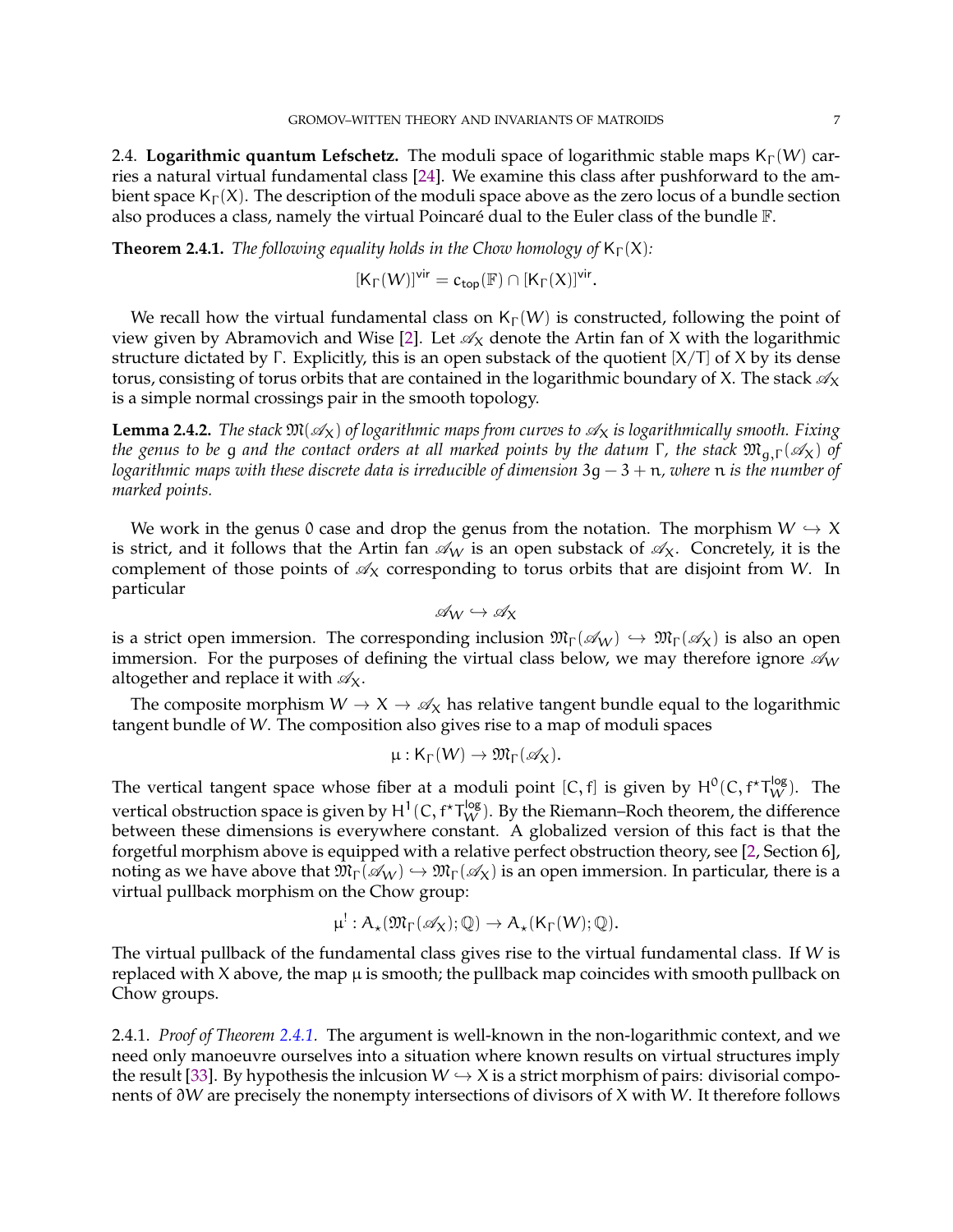<span id="page-6-2"></span><span id="page-6-1"></span>2.4. **Logarithmic quantum Lefschetz.** The moduli space of logarithmic stable maps  $K_{\Gamma}(W)$  carries a natural virtual fundamental class [\[24\]](#page-21-19). We examine this class after pushforward to the ambient space  $K_{\Gamma}(X)$ . The description of the moduli space above as the zero locus of a bundle section also produces a class, namely the virtual Poincaré dual to the Euler class of the bundle  $\mathbb{F}$ .

<span id="page-6-0"></span>**Theorem 2.4.1.** *The following equality holds in the Chow homology of*  $K_{\Gamma}(X)$ *:* 

$$
[\mathsf{K}_{\Gamma}(W)]^{\mathsf{vir}} = c_{\mathsf{top}}(\mathbb{F}) \cap [\mathsf{K}_{\Gamma}(X)]^{\mathsf{vir}}.
$$

We recall how the virtual fundamental class on  $K_{\Gamma}(W)$  is constructed, following the point of view given by Abramovich and Wise [\[2\]](#page-20-0). Let  $\mathcal{A}_X$  denote the Artin fan of X with the logarithmic structure dictated by Γ. Explicitly, this is an open substack of the quotient  $[X/T]$  of X by its dense torus, consisting of torus orbits that are contained in the logarithmic boundary of X. The stack  $\mathcal{A}_X$ is a simple normal crossings pair in the smooth topology.

**Lemma 2.4.2.** *The stack*  $\mathfrak{M}(\mathcal{A}_X)$  *of logarithmic maps from curves to*  $\mathcal{A}_X$  *is logarithmically smooth. Fixing the genus to be* g *and the contact orders at all marked points by the datum* Γ, *the stack*  $\mathfrak{M}_{q,\Gamma}(\mathscr{A}_X)$  *of logarithmic maps with these discrete data is irreducible of dimension* 3g − 3 + n*, where* n *is the number of marked points.*

We work in the genus 0 case and drop the genus from the notation. The morphism  $W \hookrightarrow X$ is strict, and it follows that the Artin fan  $\mathcal{A}_W$  is an open substack of  $\mathcal{A}_X$ . Concretely, it is the complement of those points of  $\mathcal{A}_X$  corresponding to torus orbits that are disjoint from W. In particular

$$
\mathscr{A}_W \hookrightarrow \mathscr{A}_X
$$

is a strict open immersion. The corresponding inclusion  $\mathfrak{M}_{\Gamma}(\mathscr{A}_W) \hookrightarrow \mathfrak{M}_{\Gamma}(\mathscr{A}_X)$  is also an open immersion. For the purposes of defining the virtual class below, we may therefore ignore  $\mathcal{A}_W$ altogether and replace it with  $\mathcal{A}_X$ .

The composite morphism  $W \to X \to \mathcal{A}_X$  has relative tangent bundle equal to the logarithmic tangent bundle of W. The composition also gives rise to a map of moduli spaces

$$
\mu: \mathsf{K}_\Gamma(W) \to \mathfrak{M}_\Gamma(\mathscr{A}_X).
$$

The vertical tangent space whose fiber at a moduli point  $[C, f]$  is given by  $H^0(C, f^{\star}T_W^{log})$ . The vertical obstruction space is given by  $H^1(C, f^{\star}T_W^{\log}).$  By the Riemann–Roch theorem, the difference between these dimensions is everywhere constant. A globalized version of this fact is that the forgetful morphism above is equipped with a relative perfect obstruction theory, see [\[2,](#page-20-0) Section 6], noting as we have above that  $\mathfrak{M}_{\Gamma}(\mathcal{A}_W) \hookrightarrow \mathfrak{M}_{\Gamma}(\mathcal{A}_X)$  is an open immersion. In particular, there is a virtual pullback morphism on the Chow group:

$$
\mu^!:A_\star(\mathfrak{M}_{\Gamma}(\mathscr{A}_X);\mathbb{Q})\to A_\star(\mathsf{K}_{\Gamma}(W);\mathbb{Q}).
$$

The virtual pullback of the fundamental class gives rise to the virtual fundamental class. If  $W$  is replaced with  $X$  above, the map  $\mu$  is smooth; the pullback map coincides with smooth pullback on Chow groups.

2.4.1. *Proof of Theorem [2.4.1.](#page-6-0)* The argument is well-known in the non-logarithmic context, and we need only manoeuvre ourselves into a situation where known results on virtual structures imply the result [\[33\]](#page-21-17). By hypothesis the inlcusion  $W \hookrightarrow X$  is a strict morphism of pairs: divisorial components of ∂W are precisely the nonempty intersections of divisors of X with W. It therefore follows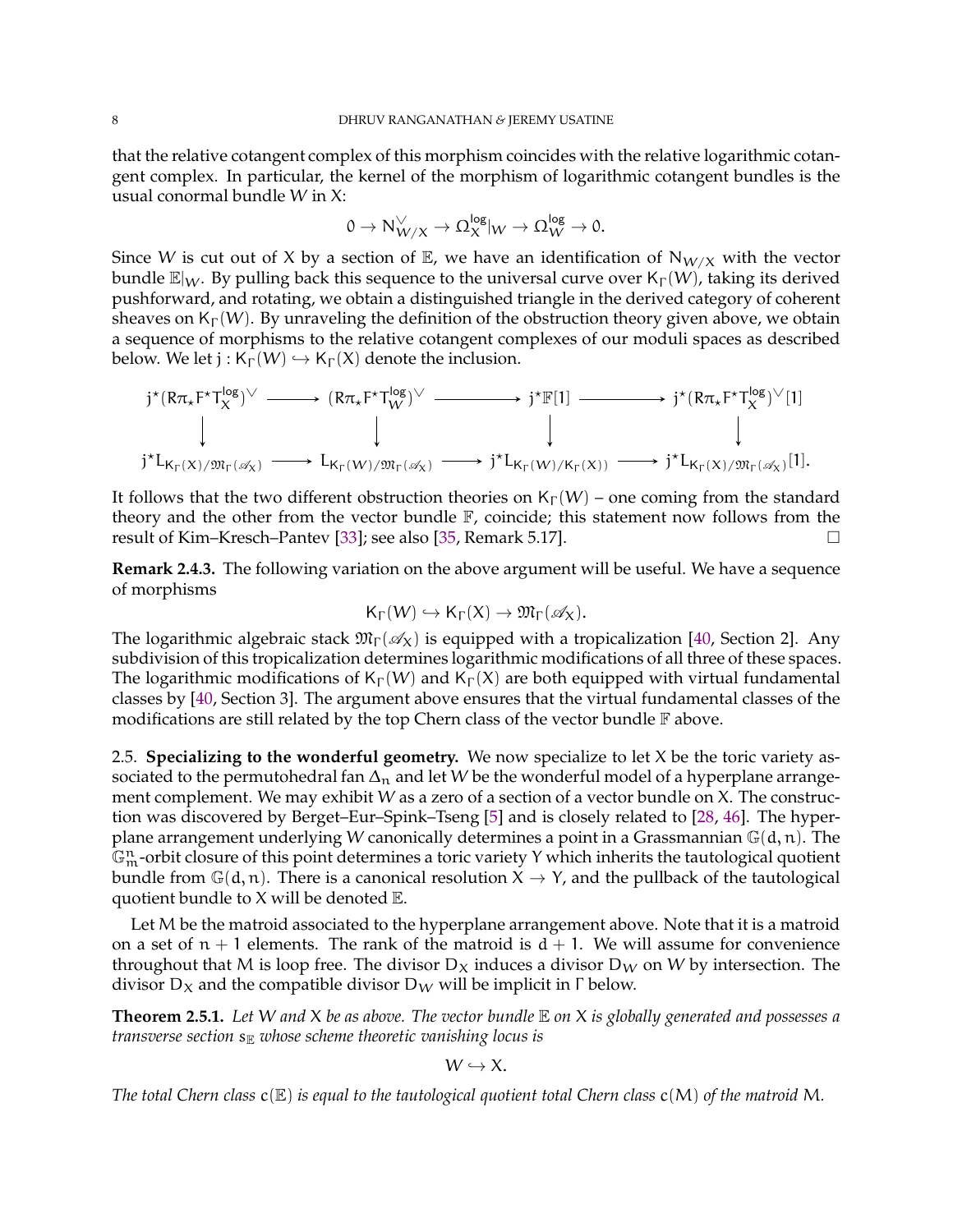<span id="page-7-2"></span>that the relative cotangent complex of this morphism coincides with the relative logarithmic cotangent complex. In particular, the kernel of the morphism of logarithmic cotangent bundles is the usual conormal bundle W in X:

$$
0\rightarrow N^{\vee}_{W/X}\rightarrow \Omega_X^{\text{log}}|_W\rightarrow \Omega_W^{\text{log}}\rightarrow 0.
$$

Since W is cut out of X by a section of  $\mathbb{E}$ , we have an identification of  $N_{W/X}$  with the vector bundle  $\mathbb{E}|_W$ . By pulling back this sequence to the universal curve over  $\mathsf{K}_{\Gamma}(W)$ , taking its derived pushforward, and rotating, we obtain a distinguished triangle in the derived category of coherent sheaves on  $K_{\Gamma}(W)$ . By unraveling the definition of the obstruction theory given above, we obtain a sequence of morphisms to the relative cotangent complexes of our moduli spaces as described below. We let  $j : K_{\Gamma}(W) \hookrightarrow K_{\Gamma}(X)$  denote the inclusion.

$$
j^{\star}(R\pi_{\star}F^{\star}T_{X}^{\log})^{\vee} \longrightarrow (R\pi_{\star}F^{\star}T_{W}^{\log})^{\vee} \longrightarrow j^{\star}\mathbb{F}[1] \longrightarrow j^{\star}(R\pi_{\star}F^{\star}T_{X}^{\log})^{\vee}[1]
$$
  
\n
$$
\downarrow \qquad \qquad \downarrow \qquad \qquad \downarrow
$$
  
\n
$$
j^{\star}L_{K_{\Gamma}(X)/\mathfrak{M}_{\Gamma}(\mathscr{A}_{X})} \longrightarrow L_{K_{\Gamma}(W)/\mathfrak{M}_{\Gamma}(\mathscr{A}_{X})} \longrightarrow j^{\star}L_{K_{\Gamma}(W)/K_{\Gamma}(X))} \longrightarrow j^{\star}L_{K_{\Gamma}(X)/\mathfrak{M}_{\Gamma}(\mathscr{A}_{X})}[1].
$$

It follows that the two different obstruction theories on  $K_{\Gamma}(W)$  – one coming from the standard theory and the other from the vector bundle  $\mathbb{F}$ , coincide; this statement now follows from the result of Kim–Kresch–Pantev [\[33\]](#page-21-17); see also [\[35,](#page-21-20) Remark 5.17].

<span id="page-7-1"></span>**Remark 2.4.3.** The following variation on the above argument will be useful. We have a sequence of morphisms

$$
\mathsf{K}_\Gamma(W)\hookrightarrow \mathsf{K}_\Gamma(X)\to \mathfrak{M}_\Gamma(\mathscr{A}_X).
$$

The logarithmic algebraic stack  $\mathfrak{M}_{\Gamma}(\mathcal{A}_{X})$  is equipped with a tropicalization [\[40,](#page-22-2) Section 2]. Any subdivision of this tropicalization determines logarithmic modifications of all three of these spaces. The logarithmic modifications of  $K_{\Gamma}(W)$  and  $K_{\Gamma}(X)$  are both equipped with virtual fundamental classes by [\[40,](#page-22-2) Section 3]. The argument above ensures that the virtual fundamental classes of the modifications are still related by the top Chern class of the vector bundle  $\mathbb F$  above.

2.5. **Specializing to the wonderful geometry.** We now specialize to let X be the toric variety associated to the permutohedral fan  $\Delta_n$  and let W be the wonderful model of a hyperplane arrangement complement. We may exhibit W as a zero of a section of a vector bundle on X. The construction was discovered by Berget–Eur–Spink–Tseng [\[5\]](#page-20-2) and is closely related to [\[28,](#page-21-21) [46\]](#page-22-6). The hyperplane arrangement underlying W canonically determines a point in a Grassmannian  $\mathbb{G}(d, n)$ . The  $\mathbb{G}_{\mathfrak{m}}^{\mathfrak{n}}$ -orbit closure of this point determines a toric variety Y which inherits the tautological quotient bundle from  $\mathbb{G}(d, n)$ . There is a canonical resolution  $X \to Y$ , and the pullback of the tautological quotient bundle to  $X$  will be denoted  $E$ .

Let M be the matroid associated to the hyperplane arrangement above. Note that it is a matroid on a set of  $n + 1$  elements. The rank of the matroid is  $d + 1$ . We will assume for convenience throughout that M is loop free. The divisor  $D_X$  induces a divisor  $D_W$  on W by intersection. The divisor  $D_X$  and the compatible divisor  $D_W$  will be implicit in  $\Gamma$  below.

<span id="page-7-0"></span>**Theorem 2.5.1.** *Let* W *and* X *be as above. The vector bundle* E *on* X *is globally generated and possesses a transverse section*  $s_{\mathbb{R}}$  *whose scheme theoretic vanishing locus is* 

$$
W \hookrightarrow X.
$$

*The total Chern class*  $c(\mathbb{E})$  *is equal to the tautological quotient total Chern class*  $c(M)$  *of the matroid* M.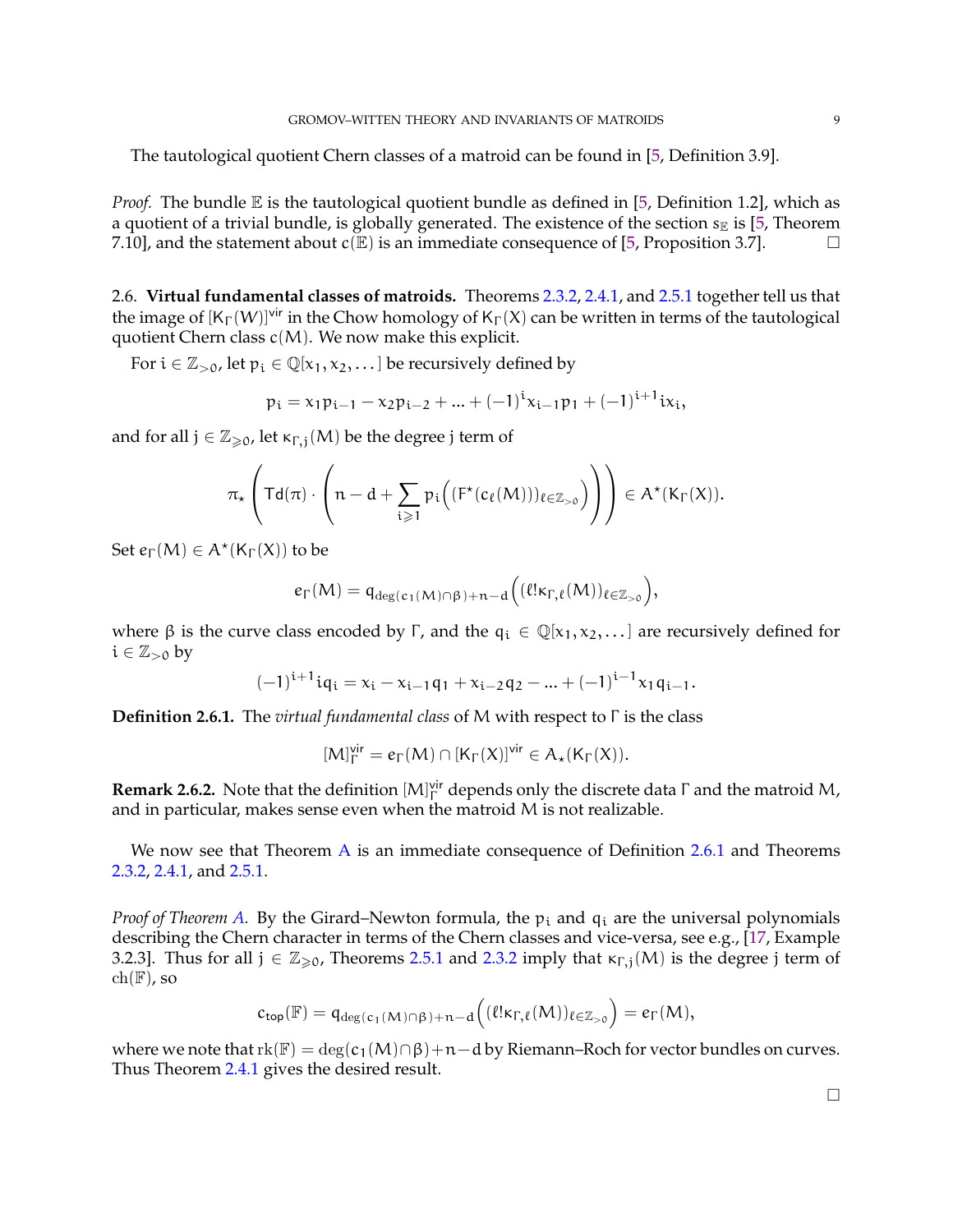<span id="page-8-2"></span>The tautological quotient Chern classes of a matroid can be found in [\[5,](#page-20-2) Definition 3.9].

*Proof.* The bundle  $E$  is the tautological quotient bundle as defined in [\[5,](#page-20-2) Definition 1.2], which as a quotient of a trivial bundle, is globally generated. The existence of the section  $s_{\mathbb{E}}$  is [\[5,](#page-20-2) Theorem 7.10], and the statement about  $c(\mathbb{E})$  is an immediate consequence of [\[5,](#page-20-2) Proposition 3.7].

<span id="page-8-1"></span>2.6. **Virtual fundamental classes of matroids.** Theorems [2.3.2,](#page-5-0) [2.4.1,](#page-6-0) and [2.5.1](#page-7-0) together tell us that the image of  $[K_{\Gamma}(W)]^{\text{vir}}$  in the Chow homology of  $K_{\Gamma}(X)$  can be written in terms of the tautological quotient Chern class  $c(M)$ . We now make this explicit.

For  $i \in \mathbb{Z}_{>0}$ , let  $p_i \in \mathbb{Q}[x_1, x_2, \dots]$  be recursively defined by

$$
p_i = x_1 p_{i-1} - x_2 p_{i-2} + \dots + (-1)^i x_{i-1} p_1 + (-1)^{i+1} i x_i,
$$

and for all  $j \in \mathbb{Z}_{\geq 0}$ , let  $\kappa_{\Gamma,i}(M)$  be the degree j term of

$$
\pi_\star\left( \mathsf{Td}(\pi)\cdot \left(n-d+\sum_{i\geqslant 1} \mathfrak{p}_i\Big((\mathsf{F}^\star(c_\ell(M)))_{\ell\in\mathbb{Z}_{>0}}\Big)\right)\right)\in A^\star(\mathsf{K}_\Gamma(X)).
$$

Set  $e_{\Gamma}(M) \in A^{\star}(K_{\Gamma}(X))$  to be

$$
e_{\Gamma}(M) = q_{\deg(c_1(M) \cap \beta) + n - d} \Big( (\ell! \kappa_{\Gamma, \ell}(M))_{\ell \in \mathbb{Z}_{> 0}} \Big),
$$

where  $\beta$  is the curve class encoded by Γ, and the  $q_i \in \mathbb{Q}[x_1, x_2, \dots]$  are recursively defined for  $i \in \mathbb{Z}_{>0}$  by

$$
(-1)^{i+1}iq_i = x_i - x_{i-1}q_1 + x_{i-2}q_2 - ... + (-1)^{i-1}x_1q_{i-1}.
$$

<span id="page-8-0"></span>**Definition 2.6.1.** The *virtual fundamental class* of M with respect to Γ is the class

$$
[M]_\Gamma^\textup{vir} = e_\Gamma(M) \cap [K_\Gamma(X)]^\textup{vir} \in A_\star(K_\Gamma(X)).
$$

**Remark 2.6.2.** Note that the definition  $[M]_ \Gamma^{\text{vir}}$  depends only the discrete data  $\Gamma$  and the matroid M, and in particular, makes sense even when the matroid M is not realizable.

We now see that Theorem [A](#page-1-0) is an immediate consequence of Definition [2.6.1](#page-8-0) and Theorems [2.3.2,](#page-5-0) [2.4.1,](#page-6-0) and [2.5.1.](#page-7-0)

*Proof of Theorem [A.](#page-1-0)* By the Girard–Newton formula, the  $p_i$  and  $q_i$  are the universal polynomials describing the Chern character in terms of the Chern classes and vice-versa, see e.g., [\[17,](#page-21-22) Example 3.2.3]. Thus for all  $j \in \mathbb{Z}_{\geq 0}$ , Theorems [2.5.1](#page-7-0) and [2.3.2](#page-5-0) imply that  $\kappa_{\Gamma,i}(M)$  is the degree j term of  $ch(\mathbb{F})$ , so

$$
c_{\text{top}}(\mathbb{F}) = \mathfrak{q}_{\deg(c_1(M)\cap\beta)+n-d}\Big((\ell! \kappa_{\Gamma,\ell}(M))_{\ell \in \mathbb{Z}_{>0}}\Big) = e_{\Gamma}(M),
$$

where we note that  $rk(\mathbb{F}) = \deg(c_1(M) \cap \beta) + n - d$  by Riemann–Roch for vector bundles on curves. Thus Theorem [2.4.1](#page-6-0) gives the desired result.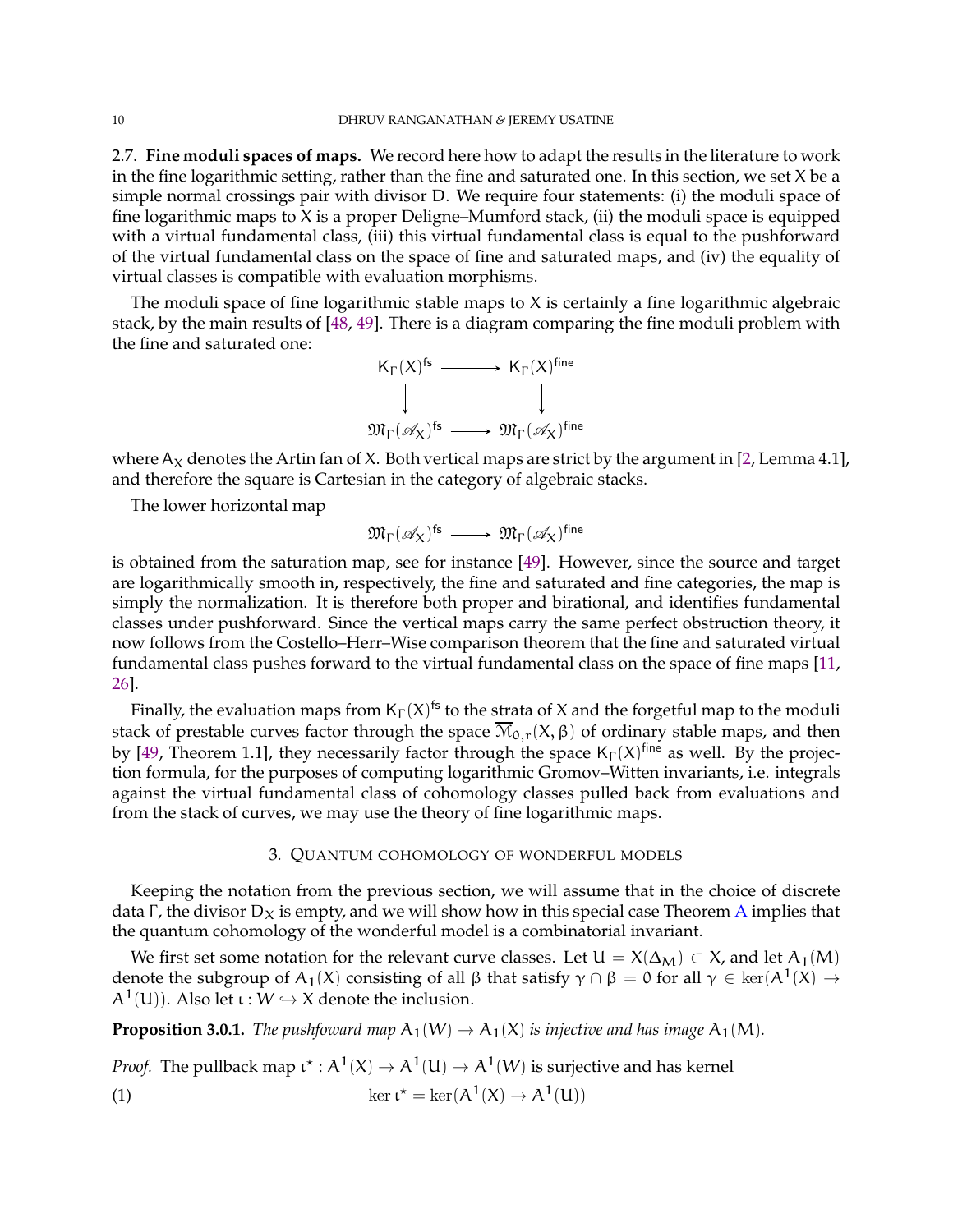<span id="page-9-3"></span><span id="page-9-0"></span>2.7. **Fine moduli spaces of maps.** We record here how to adapt the results in the literature to work in the fine logarithmic setting, rather than the fine and saturated one. In this section, we set X be a simple normal crossings pair with divisor D. We require four statements: (i) the moduli space of fine logarithmic maps to X is a proper Deligne–Mumford stack, (ii) the moduli space is equipped with a virtual fundamental class, (iii) this virtual fundamental class is equal to the pushforward of the virtual fundamental class on the space of fine and saturated maps, and (iv) the equality of virtual classes is compatible with evaluation morphisms.

The moduli space of fine logarithmic stable maps to  $X$  is certainly a fine logarithmic algebraic stack, by the main results of [\[48,](#page-22-7) [49\]](#page-22-5). There is a diagram comparing the fine moduli problem with the fine and saturated one:



where  $A_X$  denotes the Artin fan of X. Both vertical maps are strict by the argument in [\[2,](#page-20-0) Lemma 4.1], and therefore the square is Cartesian in the category of algebraic stacks.

The lower horizontal map

$$
\mathfrak{M}_{\Gamma}(\mathscr{A}_X)^{\mathsf{fs}} \longrightarrow \mathfrak{M}_{\Gamma}(\mathscr{A}_X)^{\mathsf{fine}}
$$

is obtained from the saturation map, see for instance [\[49\]](#page-22-5). However, since the source and target are logarithmically smooth in, respectively, the fine and saturated and fine categories, the map is simply the normalization. It is therefore both proper and birational, and identifies fundamental classes under pushforward. Since the vertical maps carry the same perfect obstruction theory, it now follows from the Costello–Herr–Wise comparison theorem that the fine and saturated virtual fundamental class pushes forward to the virtual fundamental class on the space of fine maps [\[11,](#page-21-23) [26\]](#page-21-24).

Finally, the evaluation maps from  $\mathsf{K}_\Gamma(\mathsf{X})^\mathsf{fs}$  to the strata of X and the forgetful map to the moduli stack of prestable curves factor through the space  $\overline{\mathcal{M}}_{0,r}(X,\beta)$  of ordinary stable maps, and then by [\[49,](#page-22-5) Theorem 1.1], they necessarily factor through the space  $\mathsf{K}_{\Gamma}(X)$ <sup>fine</sup> as well. By the projection formula, for the purposes of computing logarithmic Gromov–Witten invariants, i.e. integrals against the virtual fundamental class of cohomology classes pulled back from evaluations and from the stack of curves, we may use the theory of fine logarithmic maps.

## 3. QUANTUM COHOMOLOGY OF WONDERFUL MODELS

Keeping the notation from the previous section, we will assume that in the choice of discrete data Γ, the divisor  $D<sub>X</sub>$  is empty, and we will show how in this special case Theorem [A](#page-1-0) implies that the quantum cohomology of the wonderful model is a combinatorial invariant.

We first set some notation for the relevant curve classes. Let  $U = X(\Delta_M) \subset X$ , and let  $A_1(M)$ denote the subgroup of  $A_1(X)$  consisting of all  $\beta$  that satisfy  $\gamma \cap \beta = 0$  for all  $\gamma \in \text{ker}(A^1(X) \to$  $A^1(U)$ ). Also let  $\iota: W \hookrightarrow X$  denote the inclusion.

<span id="page-9-2"></span>**Proposition 3.0.1.** *The pushfoward map*  $A_1(W) \to A_1(X)$  *is injective and has image*  $A_1(M)$ *.* 

*Proof.* The pullback map  $\iota^* : A^1(X) \to A^1(U) \to A^1(W)$  is surjective and has kernel

<span id="page-9-1"></span>(1) 
$$
\ker \iota^* = \ker(A^1(X) \to A^1(U))
$$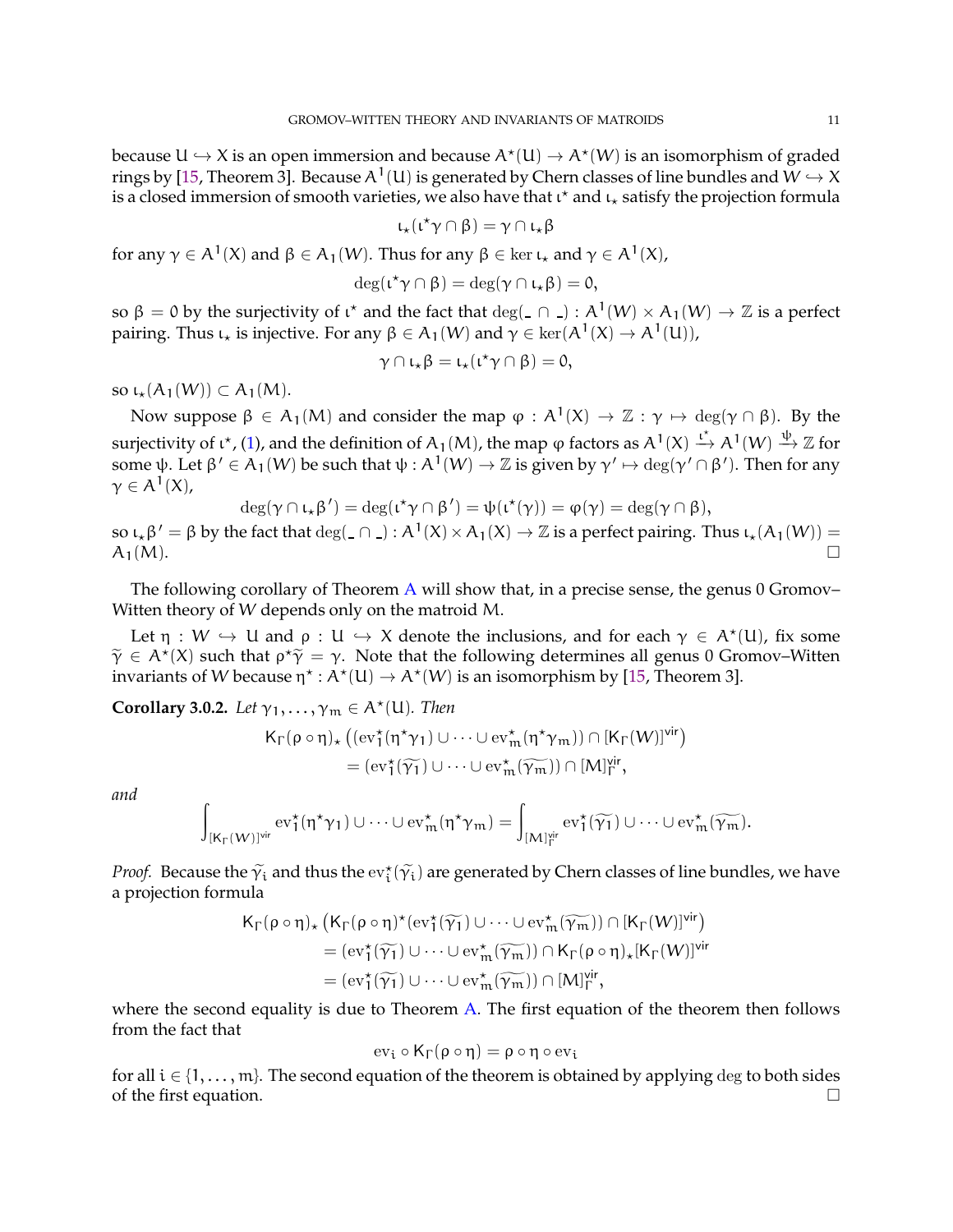<span id="page-10-1"></span>because  $U \hookrightarrow X$  is an open immersion and because  $A^{\star}(U) \to A^{\star}(W)$  is an isomorphism of graded rings by [\[15,](#page-21-2) Theorem 3]. Because A  $^1$  (U) is generated by Chern classes of line bundles and  $\stackrel{\sim}{W}\hookrightarrow X$ is a closed immersion of smooth varieties, we also have that  $\iota^*$  and  $\iota_*$  satisfy the projection formula

$$
\iota_\star(\iota^\star\gamma\cap\beta)=\gamma\cap\iota_\star\beta
$$

for any  $\gamma \in A^1(X)$  and  $\beta \in A_1(W)$ . Thus for any  $\beta \in \ker \iota_\star$  and  $\gamma \in A^1(X)$ ,

$$
\deg(\iota^{\star}\gamma\cap\beta)=\deg(\gamma\cap\iota_{\star}\beta)=0,
$$

so β = 0 by the surjectivity of ι<sup>\*</sup> and the fact that  $deg(\_ \cap \_) : A^1(W) \times A_1(W) \to \mathbb{Z}$  is a perfect pairing. Thus  $\iota_{\star}$  is injective. For any  $\beta \in A_1(W)$  and  $\gamma \in \ker(A^1(X) \to A^1(U))$ ,

$$
\gamma\cap\iota_\star\beta=\iota_\star(\iota^\star\gamma\cap\beta)=0,
$$

so  $\iota_{\star}(A_1(W)) \subset A_1(M)$ .

Now suppose  $\beta \in A_1(M)$  and consider the map  $\varphi : A^1(X) \to \mathbb{Z} : \gamma \mapsto \deg(\gamma \cap \beta)$ . By the surjectivity of  $\iota^*$ , [\(1\)](#page-9-1), and the definition of A<sub>1</sub>(M), the map  $\varphi$  factors as A<sup>1</sup>(X)  $\stackrel{\iota^*}{\to}$  A<sup>1</sup>(W)  $\stackrel{\psi}{\to} \mathbb{Z}$  for some ψ. Let  $\beta' \in A_1(W)$  be such that  $\psi : A^1(W) \to \mathbb{Z}$  is given by  $\gamma' \mapsto \deg(\gamma' \cap \beta')$ . Then for any  $\gamma\in\mathcal{A}^{1}(\mathsf{X}),$ 

$$
\deg(\gamma \cap \iota_\star \beta') = \deg(\iota^\star \gamma \cap \beta') = \psi(\iota^\star(\gamma)) = \phi(\gamma) = \deg(\gamma \cap \beta),
$$

so  $\iota_* \beta' = \beta$  by the fact that  $\deg(\_ \cap \_ ) : A^1(X) \times A_1(X) \to \mathbb{Z}$  is a perfect pairing. Thus  $\iota_* (A_1(W)) =$  $A_1(M).$ 

The following corollary of Theorem [A](#page-1-0) will show that, in a precise sense, the genus  $0$  Gromov-Witten theory of W depends only on the matroid M.

Let  $\eta : W \hookrightarrow U$  and  $\rho : U \hookrightarrow X$  denote the inclusions, and for each  $\gamma \in A^{\star}(U)$ , fix some  $ilde{\gamma} \in A^*(X)$  such that  $\rho^* \hat{\gamma} = \gamma$ . Note that the following determines all genus 0 Gromov–Witten invariants of W because  $\eta^* : A^*(U) \to A^*(W)$  is an isomorphism by [\[15,](#page-21-2) Theorem 3].

<span id="page-10-0"></span>**Corollary 3.0.2.** Let  $\gamma_1, \ldots, \gamma_m \in A^{\star}(\mathsf{U})$ . Then

$$
\begin{aligned} K_\Gamma(\rho \circ \eta)_\star \left( (\mathrm{ev}_1^\star(\eta^\star \gamma_1) \cup \cdots \cup \mathrm{ev}_m^\star(\eta^\star \gamma_m)) \cap [K_\Gamma(W)]^\mathsf{vir} \right) \\ = (\mathrm{ev}_1^\star(\widetilde{\gamma_1}) \cup \cdots \cup \mathrm{ev}_m^\star(\widetilde{\gamma_m})) \cap [M]_\Gamma^\mathsf{vir}, \end{aligned}
$$

*and*

$$
\int_{[K_\Gamma(W)]^\mathsf{vir}} \mathrm{ev}_1^\star(\eta^\star\gamma_1)\cup\dots\cup\mathrm{ev}_m^\star(\eta^\star\gamma_m)=\int_{[M]_\Gamma^\mathsf{vir}} \mathrm{ev}_1^\star(\widetilde{\gamma_1})\cup\dots\cup\mathrm{ev}_m^\star(\widetilde{\gamma_m}).
$$

*Proof.* Because the  $\widetilde{\gamma}_i$  and thus the  $ev_i^{\star}(\widetilde{\gamma}_i)$  are generated by Chern classes of line bundles, we have a projection formula

$$
\begin{aligned} K_\Gamma(\rho \circ \eta)_\star \left( K_\Gamma(\rho \circ \eta)^\star(\mathrm{ev}_1^\star(\widetilde{\gamma_1}) \cup \cdots \cup \mathrm{ev}_m^\star(\widetilde{\gamma_m})) \cap [K_\Gamma(W)]^\mathrm{vir} \right) \\ & \quad = (\mathrm{ev}_1^\star(\widetilde{\gamma_1}) \cup \cdots \cup \mathrm{ev}_m^\star(\widetilde{\gamma_m})) \cap K_\Gamma(\rho \circ \eta)_\star [K_\Gamma(W)]^\mathrm{vir} \\ & \quad = (\mathrm{ev}_1^\star(\widetilde{\gamma_1}) \cup \cdots \cup \mathrm{ev}_m^\star(\widetilde{\gamma_m})) \cap [M]_\Gamma^\mathrm{vir}, \end{aligned}
$$

where the second equality is due to Theorem  $A$ . The first equation of the theorem then follows from the fact that

$$
\mathrm{ev}_\mathfrak{i}\circ\mathsf{K}_\Gamma(\rho\circ\eta)=\rho\circ\eta\circ\mathrm{ev}_\mathfrak{i}
$$

for all  $i \in \{1, \ldots, m\}$ . The second equation of the theorem is obtained by applying deg to both sides of the first equation.  $\Box$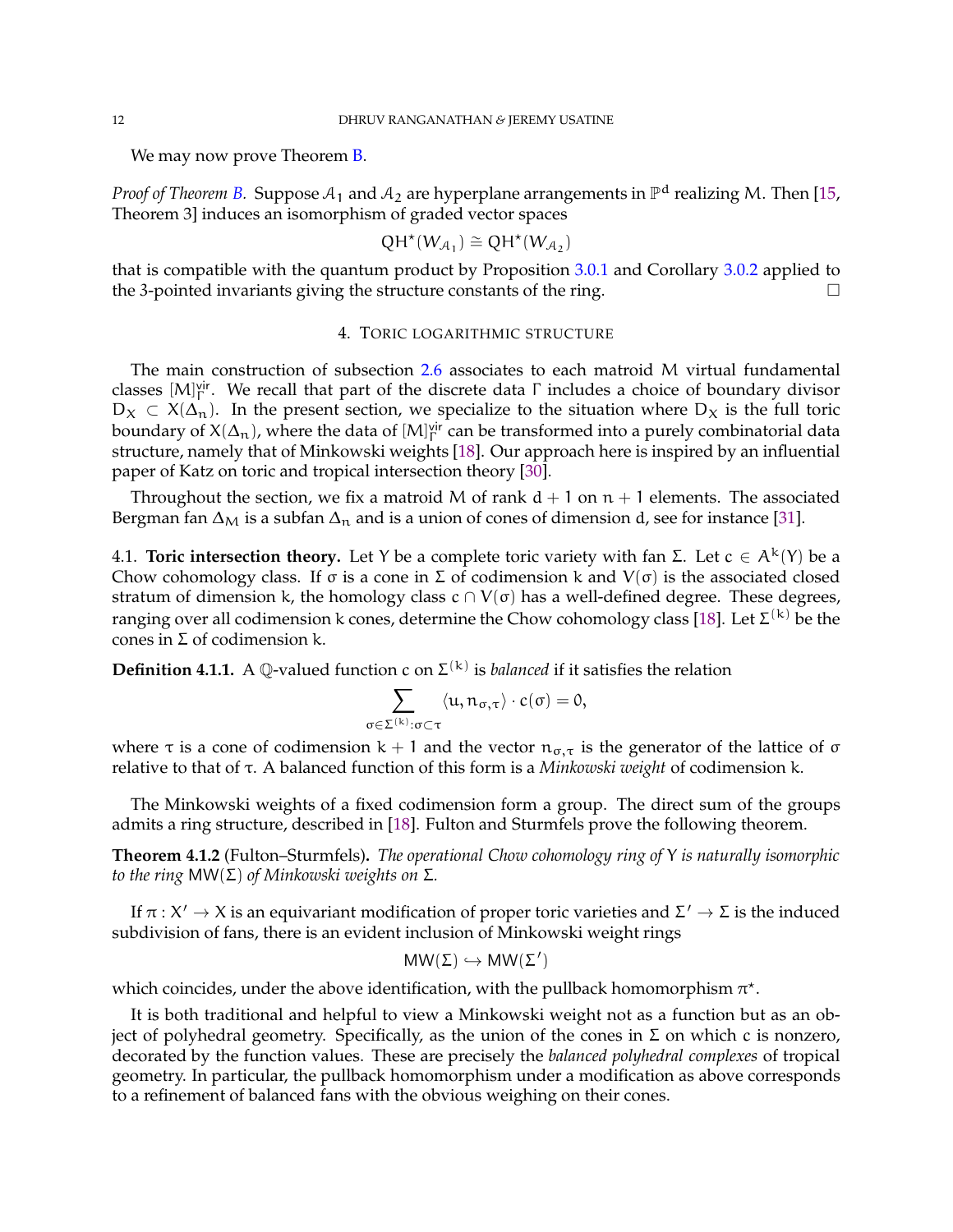<span id="page-11-0"></span>We may now prove Theorem **B**.

*Proof of Theorem [B.](#page-1-1) <code>Suppose</code>*  $\mathcal{A}_1$  *and*  $\mathcal{A}_2$  *are hyperplane arrangements in*  $\mathbb{P}^{\text{d}}$  *realizing M. Then [\[15,](#page-21-2)* Theorem 3] induces an isomorphism of graded vector spaces

$$
QH^*(W_{\mathcal{A}_1})\cong QH^*(W_{\mathcal{A}_2})
$$

that is compatible with the quantum product by Proposition [3.0.1](#page-9-2) and Corollary [3.0.2](#page-10-0) applied to the 3-pointed invariants giving the structure constants of the ring.

# 4. TORIC LOGARITHMIC STRUCTURE

The main construction of subsection [2.6](#page-8-1) associates to each matroid M virtual fundamental classes  $[M]_\Gamma^{\text{vir}}$ . We recall that part of the discrete data  $\Gamma$  includes a choice of boundary divisor  $D_X \subset X(\Delta_n)$ . In the present section, we specialize to the situation where  $D_X$  is the full toric boundary of  $X(\Delta_n)$ , where the data of  $[M]_\Gamma^{\text{vir}}$  can be transformed into a purely combinatorial data structure, namely that of Minkowski weights [\[18\]](#page-21-25). Our approach here is inspired by an influential paper of Katz on toric and tropical intersection theory [\[30\]](#page-21-26).

Throughout the section, we fix a matroid M of rank  $d + 1$  on  $n + 1$  elements. The associated Bergman fan  $\Delta_M$  is a subfan  $\Delta_n$  and is a union of cones of dimension d, see for instance [\[31\]](#page-21-0).

4.1. **Toric intersection theory.** Let Y be a complete toric variety with fan Σ. Let  $c \in A^k(Y)$  be a Chow cohomology class. If σ is a cone in Σ of codimension k and  $V(σ)$  is the associated closed stratum of dimension k, the homology class  $c \cap V(\sigma)$  has a well-defined degree. These degrees, ranging over all codimension k cones, determine the Chow cohomology class [\[18\]](#page-21-25). Let  $\Sigma^{(\mathsf{k})}$  be the cones in Σ of codimension k.

**Definition 4.1.1.** A Q-valued function c on  $\Sigma^{(k)}$  is *balanced* if it satisfies the relation

$$
\sum_{\sigma \in \Sigma^{(k)} : \sigma \subset \tau} \langle u, n_{\sigma, \tau} \rangle \cdot c(\sigma) = 0,
$$

where  $\tau$  is a cone of codimension k + 1 and the vector  $n_{\sigma,\tau}$  is the generator of the lattice of  $\sigma$ relative to that of τ. A balanced function of this form is a *Minkowski weight* of codimension k.

The Minkowski weights of a fixed codimension form a group. The direct sum of the groups admits a ring structure, described in [\[18\]](#page-21-25). Fulton and Sturmfels prove the following theorem.

**Theorem 4.1.2** (Fulton–Sturmfels)**.** *The operational Chow cohomology ring of* Y *is naturally isomorphic to the ring* MW(Σ) *of Minkowski weights on* Σ*.*

If  $\pi: X' \to X$  is an equivariant modification of proper toric varieties and  $\Sigma' \to \Sigma$  is the induced subdivision of fans, there is an evident inclusion of Minkowski weight rings

$$
MW(\Sigma) \hookrightarrow MW(\Sigma')
$$

which coincides, under the above identification, with the pullback homomorphism  $\pi^\star$ .

It is both traditional and helpful to view a Minkowski weight not as a function but as an object of polyhedral geometry. Specifically, as the union of the cones in Σ on which c is nonzero, decorated by the function values. These are precisely the *balanced polyhedral complexes* of tropical geometry. In particular, the pullback homomorphism under a modification as above corresponds to a refinement of balanced fans with the obvious weighing on their cones.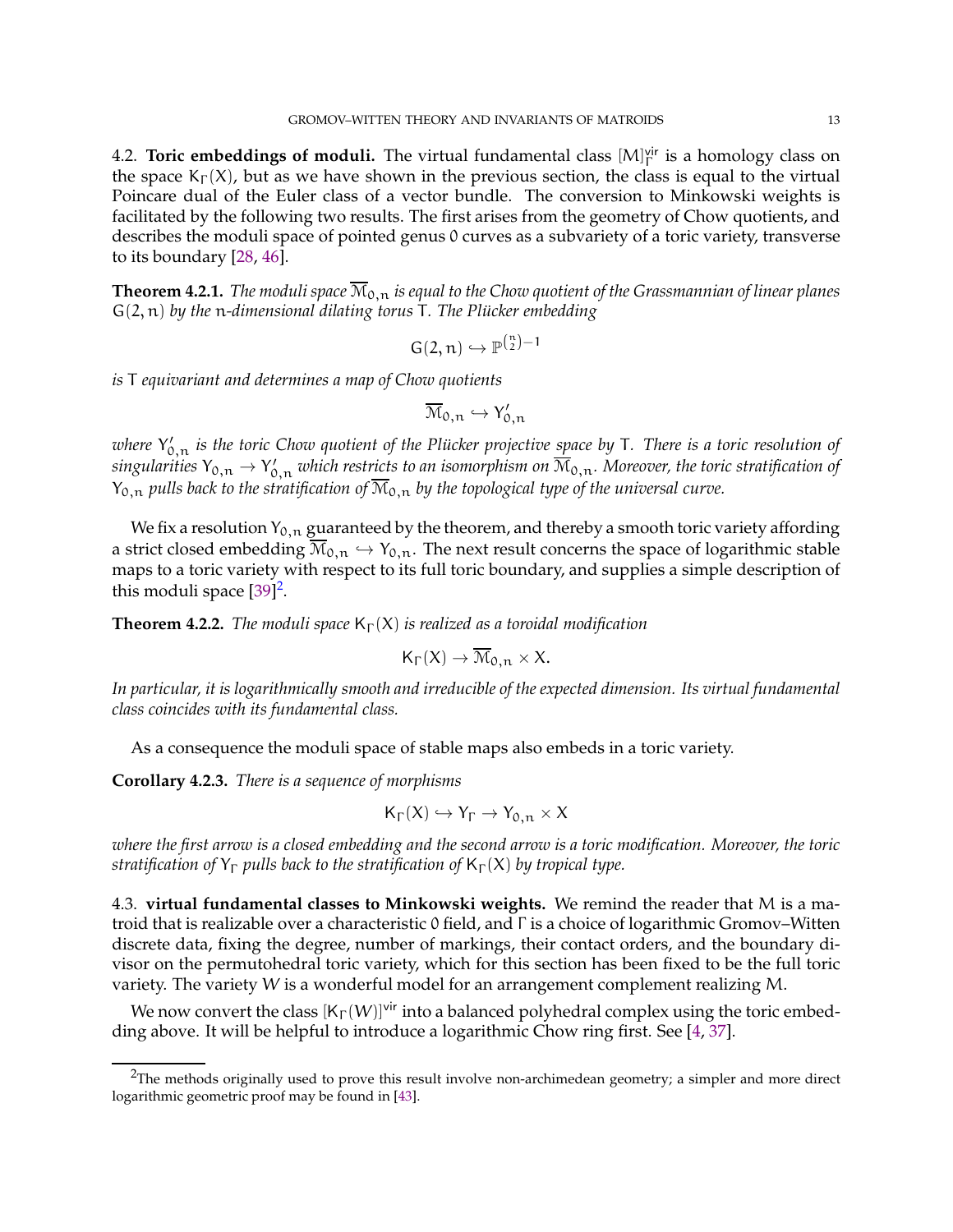<span id="page-12-2"></span>4.2. **Toric embeddings of moduli.** The virtual fundamental class [M]<sup>vir</sup> is a homology class on the space K<sub>Γ</sub>(X), but as we have shown in the previous section, the class is equal to the virtual Poincare dual of the Euler class of a vector bundle. The conversion to Minkowski weights is facilitated by the following two results. The first arises from the geometry of Chow quotients, and describes the moduli space of pointed genus 0 curves as a subvariety of a toric variety, transverse to its boundary [\[28,](#page-21-21) [46\]](#page-22-6).

**Theorem 4.2.1.** *The moduli space*  $\overline{M}_{0,n}$  *is equal to the Chow quotient of the Grassmannian of linear planes* G(2, n) *by the* n*-dimensional dilating torus* T*. The Pl ¨ucker embedding*

$$
G(2,n)\hookrightarrow \mathbb{P}^{\binom{n}{2}-1}
$$

*is* T *equivariant and determines a map of Chow quotients*

$$
\overline{\mathcal{M}}_{0,n} \hookrightarrow Y'_{0,n}
$$

where Y'<sub>0,n</sub> is the toric Chow quotient of the Plücker projective <mark>sp</mark>ace by T. There is a toric resolution of  $s$ ingularities  $Y_{0,n}\to Y'_{0,n}$  which restricts to an isomorphism on  $\overline{\mathrm{M}}_{0,n}.$  Moreover, the toric stratification of  $Y_{0,n}$  *pulls back to the stratification of*  $\overline{\mathcal{M}}_{0,n}$  *by the topological type of the universal curve.* 

We fix a resolution  $Y_{0,n}$  guaranteed by the theorem, and thereby a smooth toric variety affording a strict closed embedding  $M_{0,n} \hookrightarrow Y_{0,n}$ . The next result concerns the space of logarithmic stable maps to a toric variety with respect to its full toric boundary, and supplies a simple description of this moduli space  $[39]^2$  $[39]^2$ .

**Theorem 4.2.2.** *The moduli space*  $K_{\Gamma}(X)$  *is realized as a toroidal modification* 

$$
\mathsf{K}_{\Gamma}(X) \to \overline{\mathcal{M}}_{0,n} \times X.
$$

*In particular, it is logarithmically smooth and irreducible of the expected dimension. Its virtual fundamental class coincides with its fundamental class.*

As a consequence the moduli space of stable maps also embeds in a toric variety.

**Corollary 4.2.3.** *There is a sequence of morphisms*

$$
\mathsf{K}_\Gamma(X) \hookrightarrow \mathsf{Y}_\Gamma \to \mathsf{Y}_{0,n} \times X
$$

*where the first arrow is a closed embedding and the second arrow is a toric modification. Moreover, the toric stratification of*  $Y_{\Gamma}$  *pulls back to the stratification of*  $K_{\Gamma}(X)$  *by tropical type.* 

<span id="page-12-0"></span>4.3. **virtual fundamental classes to Minkowski weights.** We remind the reader that M is a matroid that is realizable over a characteristic 0 field, and Γ is a choice of logarithmic Gromov–Witten discrete data, fixing the degree, number of markings, their contact orders, and the boundary divisor on the permutohedral toric variety, which for this section has been fixed to be the full toric variety. The variety W is a wonderful model for an arrangement complement realizing M.

We now convert the class  $[K_{\Gamma}(W)]^{\text{vir}}$  into a balanced polyhedral complex using the toric embedding above. It will be helpful to introduce a logarithmic Chow ring first. See [\[4,](#page-20-6) [37\]](#page-21-27).

<span id="page-12-1"></span> ${}^{2}$ The methods originally used to prove this result involve non-archimedean geometry; a simpler and more direct logarithmic geometric proof may be found in [\[43\]](#page-22-8).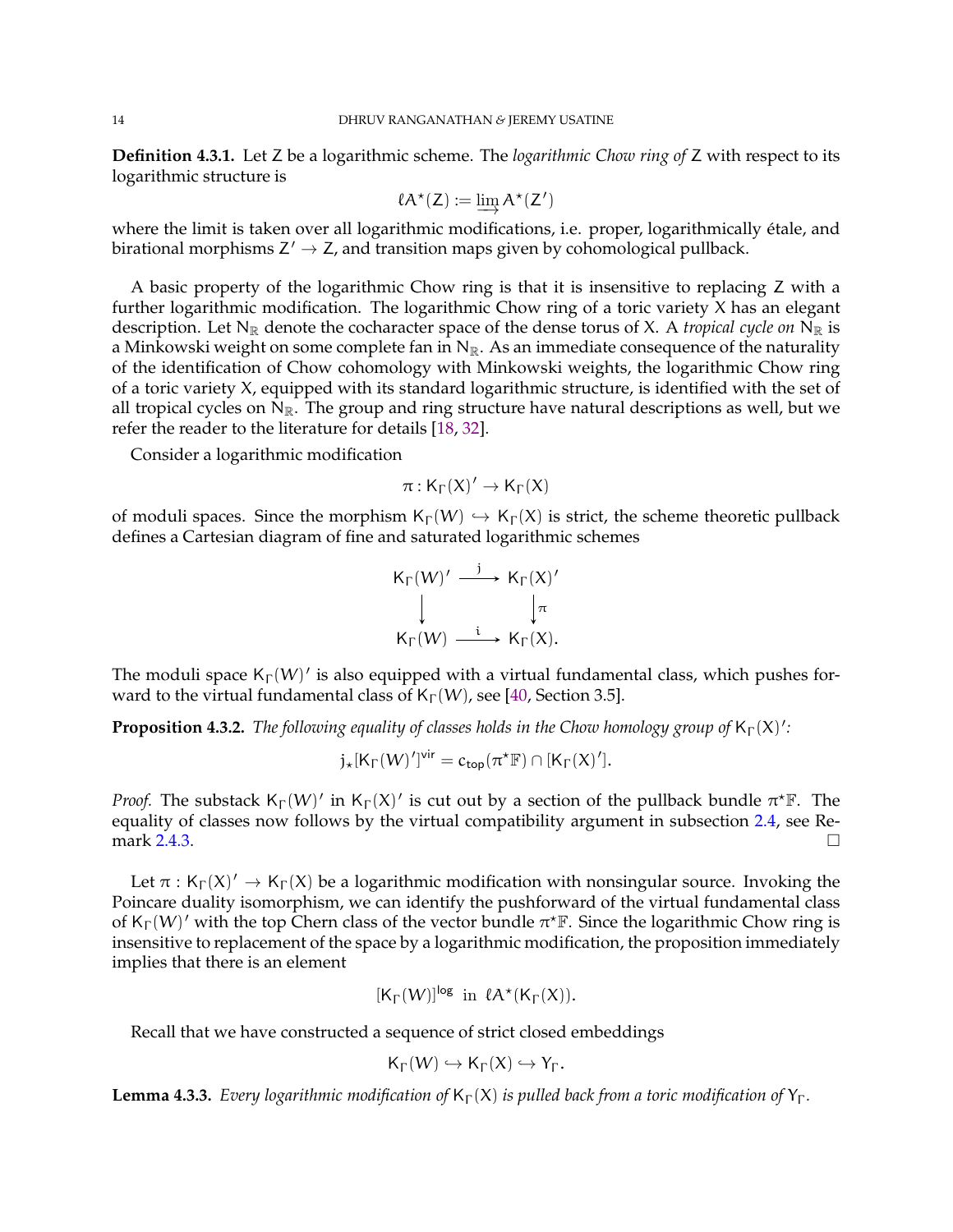<span id="page-13-0"></span>**Definition 4.3.1.** Let Z be a logarithmic scheme. The *logarithmic Chow ring of* Z with respect to its logarithmic structure is

$$
\ell A^\star(Z) := \varinjlim A^\star(Z')
$$

where the limit is taken over all logarithmic modifications, i.e. proper, logarithmically étale, and birational morphisms  $Z' \to Z$ , and transition maps given by cohomological pullback.

A basic property of the logarithmic Chow ring is that it is insensitive to replacing Z with a further logarithmic modification. The logarithmic Chow ring of a toric variety X has an elegant description. Let  $N_{\mathbb{R}}$  denote the cocharacter space of the dense torus of X. A *tropical cycle on*  $N_{\mathbb{R}}$  is a Minkowski weight on some complete fan in  $N_{\mathbb{R}}$ . As an immediate consequence of the naturality of the identification of Chow cohomology with Minkowski weights, the logarithmic Chow ring of a toric variety X, equipped with its standard logarithmic structure, is identified with the set of all tropical cycles on  $N_{\mathbb{R}}$ . The group and ring structure have natural descriptions as well, but we refer the reader to the literature for details [\[18,](#page-21-25) [32\]](#page-21-28).

Consider a logarithmic modification

$$
\pi:K_\Gamma(X)'\to K_\Gamma(X)
$$

of moduli spaces. Since the morphism  $K_{\Gamma}(W) \hookrightarrow K_{\Gamma}(X)$  is strict, the scheme theoretic pullback defines a Cartesian diagram of fine and saturated logarithmic schemes

$$
\begin{array}{ccc}\nK_{\Gamma}(W)' & \xrightarrow{\ j} & K_{\Gamma}(X)' \\
\downarrow & & \downarrow \pi \\
K_{\Gamma}(W) & \xrightarrow{\ i} & K_{\Gamma}(X).\n\end{array}
$$

The moduli space  $K_{\Gamma}(W)'$  is also equipped with a virtual fundamental class, which pushes forward to the virtual fundamental class of  $K_{\Gamma}(W)$ , see [\[40,](#page-22-2) Section 3.5].

**Proposition 4.3.2.** *The following equality of classes holds in the Chow homology group of*  $K_{\Gamma}(X)'$ *:* 

$$
j_\star[K_\Gamma(W)']^\textup{vir} = c_\textup{top}(\pi^\star \mathbb{F}) \cap [K_\Gamma(X)'].
$$

*Proof.* The substack  $K_{\Gamma}(W)'$  in  $K_{\Gamma}(X)'$  is cut out by a section of the pullback bundle  $\pi^* \mathbb{F}$ . The equality of classes now follows by the virtual compatibility argument in subsection [2.4,](#page-6-1) see Re-mark [2.4.3.](#page-7-1)  $\Box$ 

Let  $\pi$  : K<sub>Γ</sub>(X)'  $\rightarrow$  K<sub>Γ</sub>(X) be a logarithmic modification with nonsingular source. Invoking the Poincare duality isomorphism, we can identify the pushforward of the virtual fundamental class of  $K_{\Gamma}(W)'$  with the top Chern class of the vector bundle  $\pi^* \mathbb{F}$ . Since the logarithmic Chow ring is insensitive to replacement of the space by a logarithmic modification, the proposition immediately implies that there is an element

$$
[K_{\Gamma}(W)]^{\log} \text{ in } \ell A^{\star}(K_{\Gamma}(X)).
$$

Recall that we have constructed a sequence of strict closed embeddings

$$
\mathsf{K}_\Gamma(W)\hookrightarrow \mathsf{K}_\Gamma(X)\hookrightarrow \mathsf{Y}_\Gamma.
$$

**Lemma 4.3.3.** *Every logarithmic modification of*  $K_\Gamma(X)$  *is pulled back from a toric modification of*  $Y_\Gamma$ *.*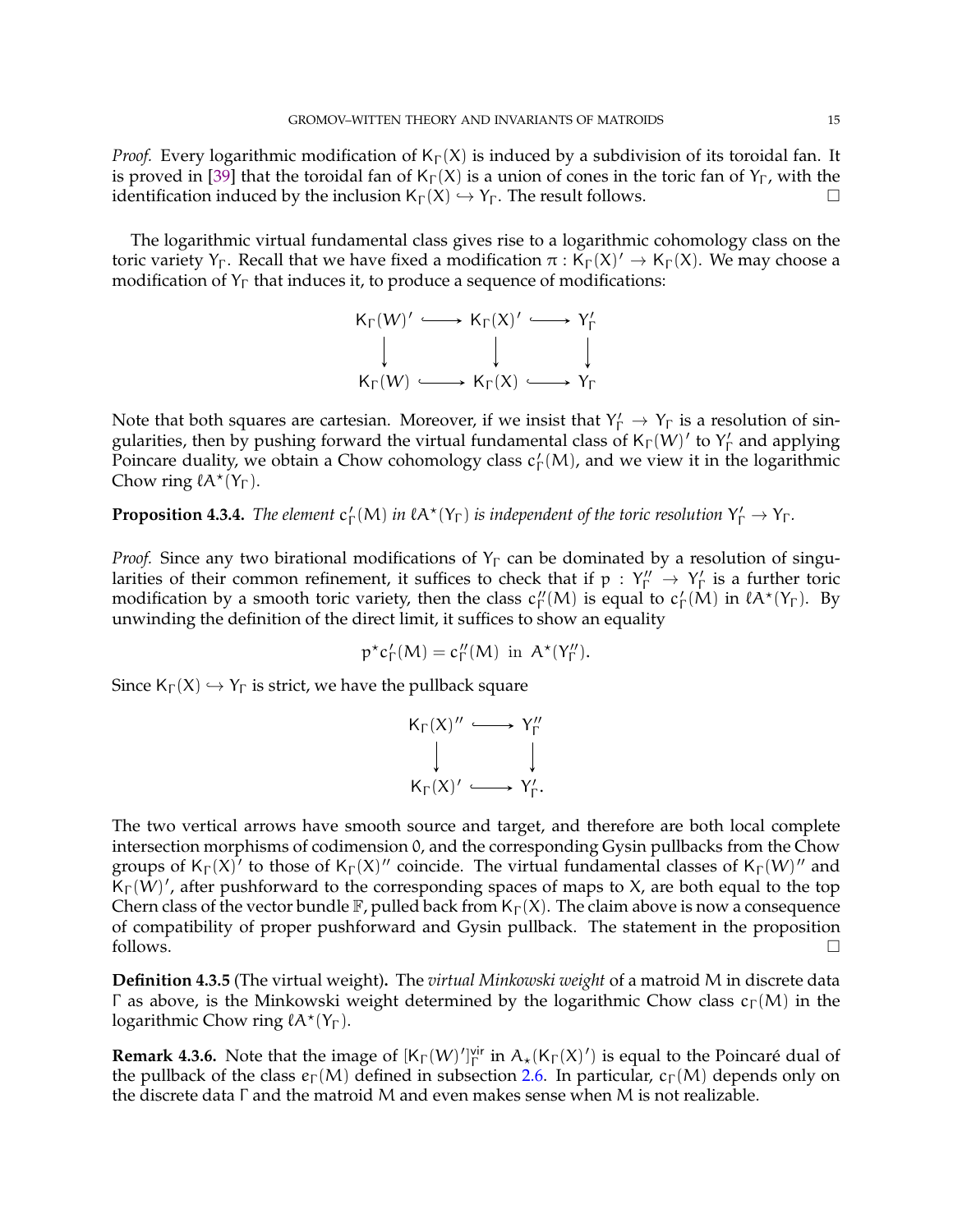<span id="page-14-0"></span>*Proof.* Every logarithmic modification of  $K_\Gamma(X)$  is induced by a subdivision of its toroidal fan. It is proved in [\[39\]](#page-22-1) that the toroidal fan of K<sub>Γ</sub>(X) is a union of cones in the toric fan of Y<sub>Γ</sub>, with the identification induced by the inclusion  $K_{\Gamma}(X) \hookrightarrow Y_{\Gamma}$ . The result follows.

The logarithmic virtual fundamental class gives rise to a logarithmic cohomology class on the toric variety Y<sub>Γ</sub>. Recall that we have fixed a modification  $\pi : K_\Gamma(X)' \to K_\Gamma(X)$ . We may choose a modification of  $Y_{\Gamma}$  that induces it, to produce a sequence of modifications:

$$
\begin{array}{ccc}\nK_{\Gamma}(W)' & \longrightarrow & K_{\Gamma}(X)' & \longrightarrow & Y_{\Gamma}' \\
\downarrow & & \downarrow & & \downarrow \\
K_{\Gamma}(W) & \longrightarrow & K_{\Gamma}(X) & \longrightarrow & Y_{\Gamma}\n\end{array}
$$

Note that both squares are cartesian. Moreover, if we insist that  $Y'_\Gamma \to Y_\Gamma$  is a resolution of singularities, then by pushing forward the virtual fundamental class of  $K_{\Gamma}(W)'$  to  $Y'_{\Gamma}$  $\int_{\Gamma}$  and applying Poincare duality, we obtain a Chow cohomology class  $c_1$  $\mathcal{L}_{\Gamma}(M)$ , and we view it in the logarithmic Chow ring  $lA^*(Y_{\Gamma})$ .

**Proposition 4.3.4.** *The element* c ′  $\Gamma'_\Gamma(M)$  *in*  $lA^*(Y_\Gamma)$  *is independent of the toric resolution*  $Y'_\Gamma \to Y_\Gamma$ *.* 

*Proof.* Since any two birational modifications of  $Y_{\Gamma}$  can be dominated by a resolution of singularities of their common refinement, it suffices to check that if  $p: Y''_{\Gamma} \to Y'_{\Gamma}$  $\int_{\Gamma}$  is a further toric modification by a smooth toric variety, then the class  $c''_{\Gamma}$  $\int_{\Gamma}^{\prime}$ (M) is equal to  $c_1$  $\int_{\Gamma} M$ ) in  $\ell A^*(Y_{\Gamma})$ . By unwinding the definition of the direct limit, it suffices to show an equality

$$
p^{\star}c_{\Gamma}'(M)=c_{\Gamma}''(M)\ \mathrm{in}\ A^{\star}(Y_{\Gamma}'').
$$

Since  $K_{\Gamma}(X) \hookrightarrow Y_{\Gamma}$  is strict, we have the pullback square

$$
\begin{array}{ccc}\nK_{\Gamma}(X)' & \longrightarrow & Y''_{\Gamma} \\
\downarrow & & \downarrow \\
K_{\Gamma}(X)' & \longrightarrow & Y'_{\Gamma}.\n\end{array}
$$

The two vertical arrows have smooth source and target, and therefore are both local complete intersection morphisms of codimension 0, and the corresponding Gysin pullbacks from the Chow groups of  $K_{\Gamma}(X)^{'}$  to those of  $K_{\Gamma}(X)$ " coincide. The virtual fundamental classes of  $K_{\Gamma}(W)$ " and  $\breve{\mathsf{K}}_{\Gamma}(\dot{W})'$ , after pushforward to the corresponding spaces of maps to X, are both equal to the top Chern class of the vector bundle F, pulled back from  $K_{\Gamma}(X)$ . The claim above is now a consequence of compatibility of proper pushforward and Gysin pullback. The statement in the proposition follows.  $\Box$ 

**Definition 4.3.5** (The virtual weight)**.** The *virtual Minkowski weight* of a matroid M in discrete data Γ as above, is the Minkowski weight determined by the logarithmic Chow class  $c_Γ(M)$  in the logarithmic Chow ring  $lA^*(Y_{\Gamma}).$ 

**Remark 4.3.6.** Note that the image of  $[K_{\Gamma}(W)']_{\Gamma}^{vir}$  in  $A_{\star}(K_{\Gamma}(X)')$  is equal to the Poincaré dual of the pullback of the class  $e_{\Gamma}(M)$  defined in subsection [2.6.](#page-8-1) In particular,  $c_{\Gamma}(M)$  depends only on the discrete data Γ and the matroid M and even makes sense when M is not realizable.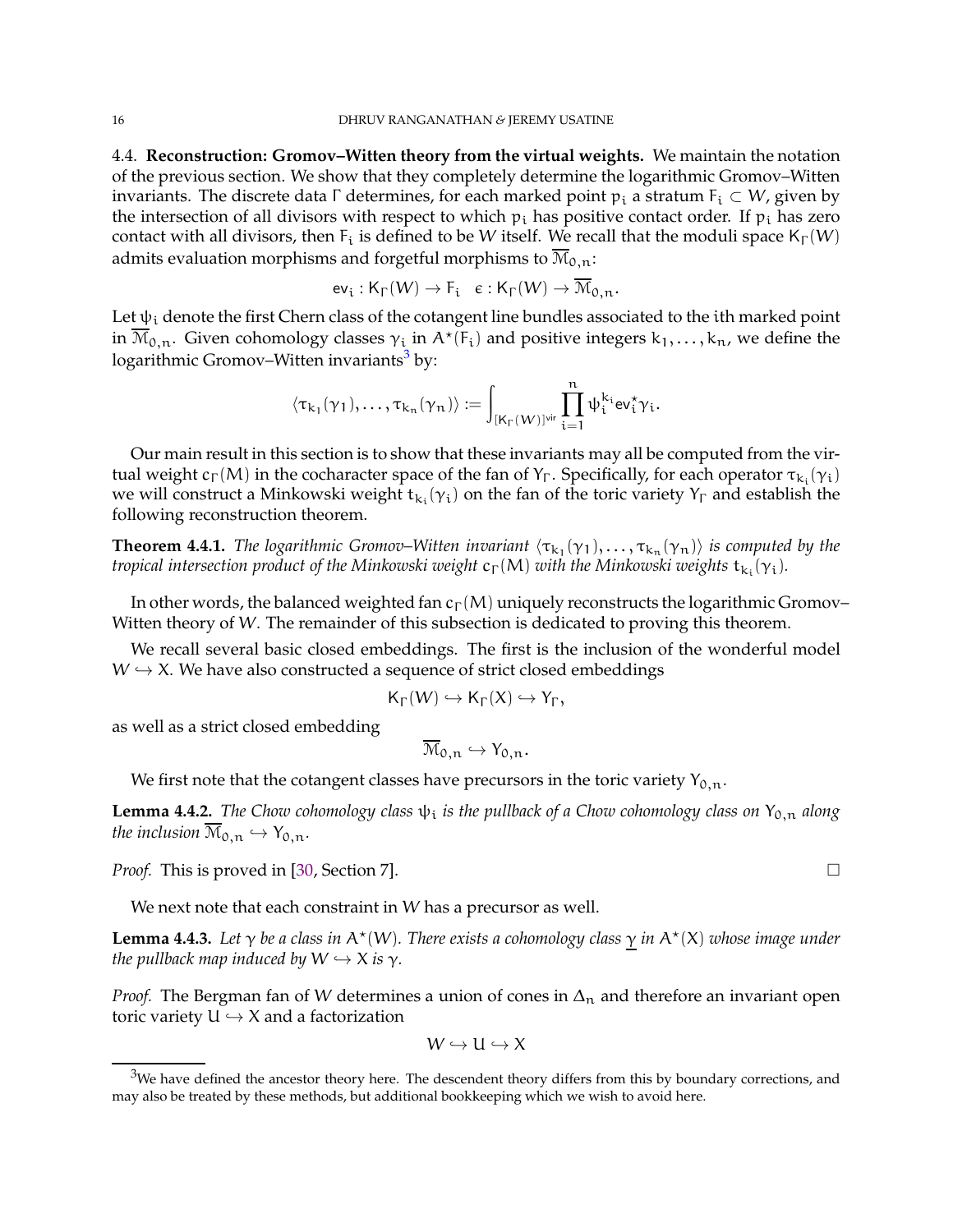<span id="page-15-3"></span><span id="page-15-0"></span>4.4. **Reconstruction: Gromov–Witten theory from the virtual weights.** We maintain the notation of the previous section. We show that they completely determine the logarithmic Gromov–Witten invariants. The discrete data  $\Gamma$  determines, for each marked point  $p_i$  a stratum  $F_i \subset W$ , given by the intersection of all divisors with respect to which  $p_i$  has positive contact order. If  $p_i$  has zero contact with all divisors, then  $F_i$  is defined to be W itself. We recall that the moduli space  $K_{\Gamma}(W)$ admits evaluation morphisms and forgetful morphisms to  $\overline{\mathrm{M}}_{0,n}$ :

$$
\mathrm{ev}_{\mathrm{i}}:\mathsf{K}_{\Gamma}(W)\rightarrow \mathsf{F}_{\mathrm{i}}\quad \varepsilon:\mathsf{K}_{\Gamma}(W)\rightarrow \mathfrak{M}_{0,n}.
$$

Let  $\psi_i$  denote the first Chern class of the cotangent line bundles associated to the ith marked point in  $\overline{M}_{0,n}$ . Given cohomology classes  $\gamma_i$  in  $A^{\star}(F_i)$  and positive integers  $k_1,\ldots,k_n$ , we define the logarithmic Gromov–Witten invariants<sup>[3](#page-15-1)</sup> by:

$$
\langle \tau_{k_1}(\gamma_1), \ldots, \tau_{k_n}(\gamma_n)\rangle := \int_{[K_\Gamma(W)]^{\text{vir}}}\prod_{i=1}^n \psi_i^{k_i} \text{ev}_i^\star \gamma_i.
$$

Our main result in this section is to show that these invariants may all be computed from the virtual weight  $c_\Gamma(M)$  in the cocharacter space of the fan of Y<sub>Γ</sub>. Specifically, for each operator  $\tau_{k_i}(\gamma_i)$ we will construct a Minkowski weight  $t_{k_i}(\gamma_i)$  on the fan of the toric variety  $Y_{\Gamma}$  and establish the following reconstruction theorem.

<span id="page-15-2"></span>**Theorem 4.4.1.** The logarithmic Gromov–Witten invariant  $\langle \tau_{k_1}(\gamma_1), \ldots, \tau_{k_n}(\gamma_n) \rangle$  is computed by the *tropical intersection product of the Minkowski weight*  $c_{\Gamma}(M)$  *with the Minkowski weights*  $t_{k_i}(\gamma_i)$ *.* 

In other words, the balanced weighted fan  $c_{\Gamma}(M)$  uniquely reconstructs the logarithmic Gromov– Witten theory of W. The remainder of this subsection is dedicated to proving this theorem.

We recall several basic closed embeddings. The first is the inclusion of the wonderful model  $W \hookrightarrow X$ . We have also constructed a sequence of strict closed embeddings

$$
\mathsf{K}_{\Gamma}(W)\hookrightarrow \mathsf{K}_{\Gamma}(X)\hookrightarrow \mathsf{Y}_{\Gamma},
$$

as well as a strict closed embedding

$$
\overline{\mathcal{M}}_{0,n} \hookrightarrow Y_{0,n}.
$$

We first note that the cotangent classes have precursors in the toric variety  $Y_{0,n}$ .

**Lemma 4.4.2.** *The Chow cohomology class*  $\psi_i$  *is the pullback of a Chow cohomology class on*  $Y_{0,n}$  *along the inclusion*  $\overline{\mathcal{M}}_{0,n} \hookrightarrow Y_{0,n}$ *.* 

*Proof.* This is proved in [\[30,](#page-21-26) Section 7]. □

We next note that each constraint in W has a precursor as well.

**Lemma 4.4.3.** Let  $\gamma$  be a class in A<sup>\*</sup>(W). There exists a cohomology class  $\gamma$  in A<sup>\*</sup>(X) whose image under *the pullback map induced by*  $W \hookrightarrow X$  *is*  $\gamma$ *.* 

*Proof.* The Bergman fan of W determines a union of cones in  $\Delta_n$  and therefore an invariant open toric variety  $U \hookrightarrow X$  and a factorization

$$
W \hookrightarrow U \hookrightarrow X
$$

<span id="page-15-1"></span> $3$ We have defined the ancestor theory here. The descendent theory differs from this by boundary corrections, and may also be treated by these methods, but additional bookkeeping which we wish to avoid here.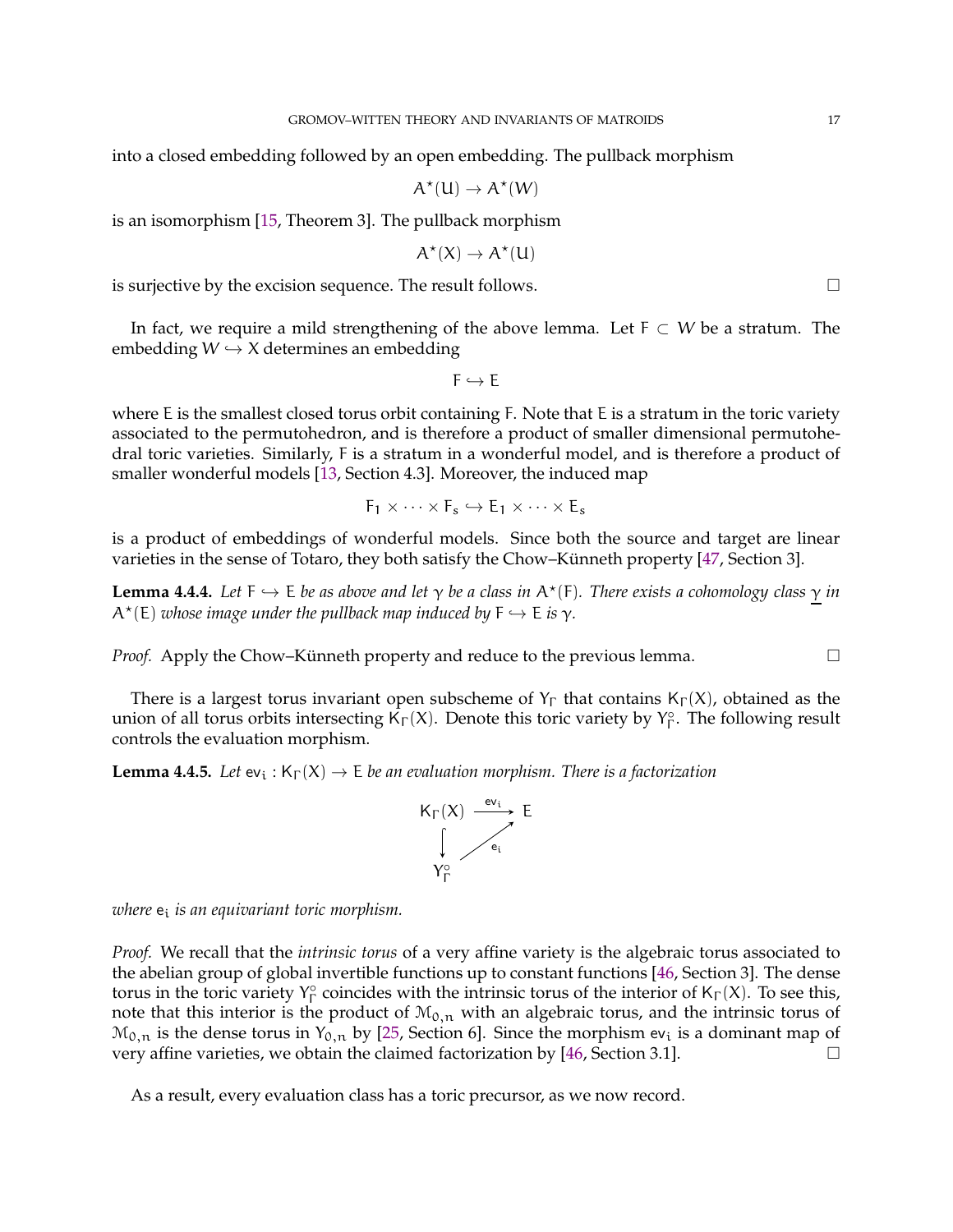<span id="page-16-0"></span>into a closed embedding followed by an open embedding. The pullback morphism

$$
A^\star(U) \to A^\star(W)
$$

is an isomorphism [\[15,](#page-21-2) Theorem 3]. The pullback morphism

$$
A^\star(X)\to A^\star(U)
$$

is surjective by the excision sequence. The result follows.

In fact, we require a mild strengthening of the above lemma. Let  $F \subset W$  be a stratum. The embedding  $W \hookrightarrow X$  determines an embedding

 $F \hookrightarrow F$ 

where E is the smallest closed torus orbit containing F. Note that E is a stratum in the toric variety associated to the permutohedron, and is therefore a product of smaller dimensional permutohedral toric varieties. Similarly, F is a stratum in a wonderful model, and is therefore a product of smaller wonderful models [\[13,](#page-21-1) Section 4.3]. Moreover, the induced map

$$
F_1\times\cdots\times F_s\hookrightarrow E_1\times\cdots\times E_s
$$

is a product of embeddings of wonderful models. Since both the source and target are linear varieties in the sense of Totaro, they both satisfy the Chow–Künneth property [\[47,](#page-22-9) Section 3].

**Lemma 4.4.4.** Let  $F \hookrightarrow E$  *be as above and let*  $\gamma$  *be a class in*  $A^{\star}(F)$ *. There exists a cohomology class*  $\gamma$  *in*  $A^{\star}(\mathsf{E})$  *whose image under the pullback map induced by*  $\mathsf{F} \hookrightarrow \mathsf{E}$  *is*  $\gamma$ *.* 

*Proof.* Apply the Chow–Künneth property and reduce to the previous lemma.  $\Box$ 

There is a largest torus invariant open subscheme of  $Y_{\Gamma}$  that contains  $K_{\Gamma}(X)$ , obtained as the union of all torus orbits intersecting  $\overline{K}_{\Gamma}(X)$ . Denote this toric variety by  $Y_{\Gamma}^{\circ}$  $\int_{\Gamma}^{\circ}$ . The following result controls the evaluation morphism.

**Lemma 4.4.5.** Let  $ev_i : K_\Gamma(X) \to E$  be an evaluation morphism. There is a factorization



*where* e<sup>i</sup> *is an equivariant toric morphism.*

*Proof.* We recall that the *intrinsic torus* of a very affine variety is the algebraic torus associated to the abelian group of global invertible functions up to constant functions [\[46,](#page-22-6) Section 3]. The dense torus in the toric variety  $Y_{\Gamma}^{\circ}$  $\int_{\Gamma}^{\infty}$  coincides with the intrinsic torus of the interior of K<sub>Γ</sub>(X). To see this, note that this interior is the product of  $M_{0,n}$  with an algebraic torus, and the intrinsic torus of  $\mathcal{M}_{0,n}$  is the dense torus in  $Y_{0,n}$  by [\[25,](#page-21-29) Section 6]. Since the morphism ev<sub>i</sub> is a dominant map of very affine varieties, we obtain the claimed factorization by [\[46,](#page-22-6) Section 3.1].

As a result, every evaluation class has a toric precursor, as we now record.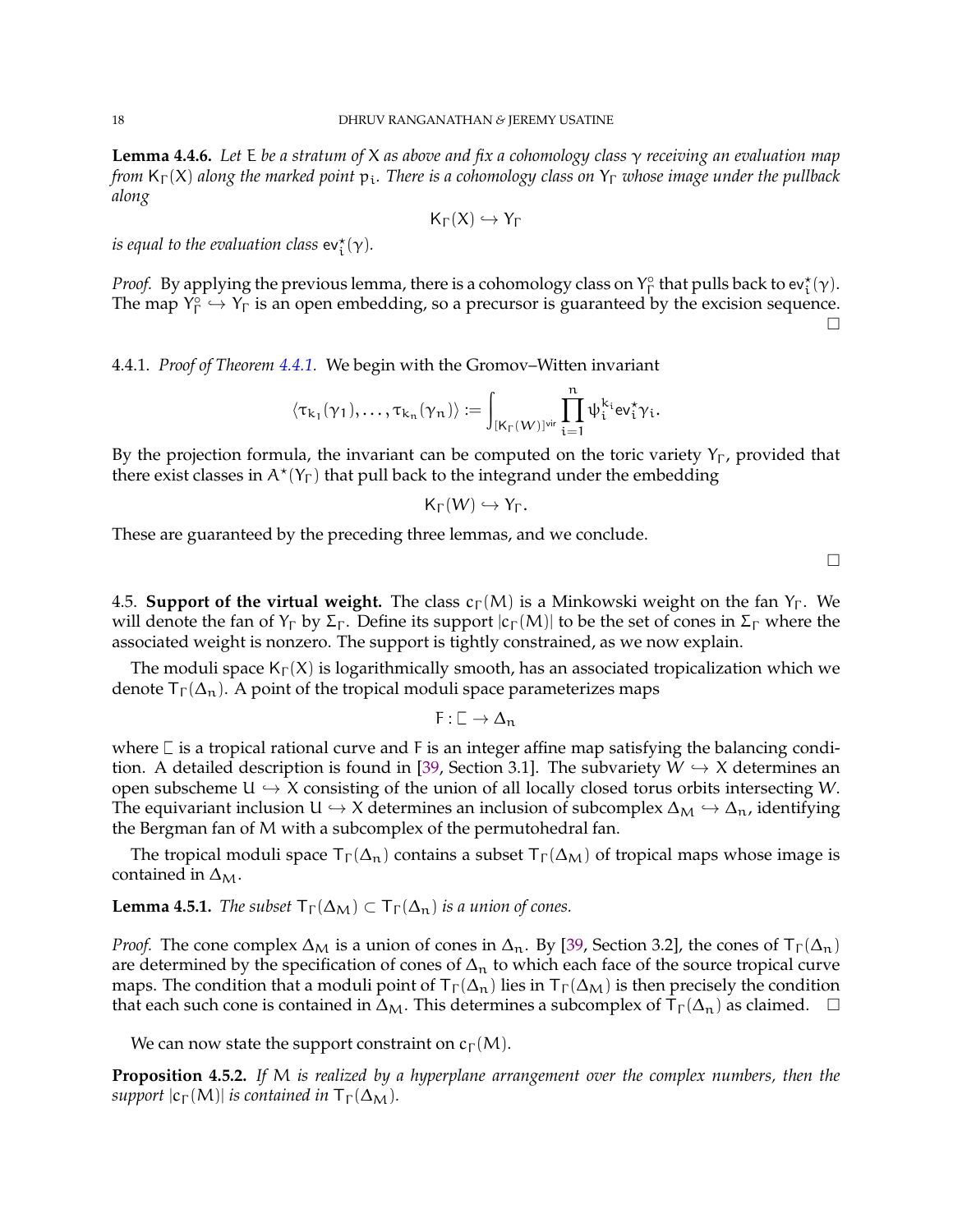<span id="page-17-0"></span>**Lemma 4.4.6.** *Let* E *be a stratum of* X *as above and fix a cohomology class* γ *receiving an evaluation map from* K<sub>Γ</sub>(X) along the marked point  $p_i$ . There is a cohomology class on Y<sub>Γ</sub> whose image under the pullback *along*

$$
\mathsf{K}_\Gamma(X)\hookrightarrow \mathsf{Y}_\Gamma
$$

*is equal to the evaluation class*  $ev_t^*(\gamma)$ *.* 

*Proof.* By applying the previous lemma, there is a cohomology class on  $Y_{\Gamma}^{\circ}$  $\int_{\Gamma}^{\infty}$  that pulls back to ev ${}_{t}^{*}(\gamma)$ . The map  $Y_{\Gamma}^{\circ}$  $\widehat{\Gamma} \hookrightarrow Y_{\Gamma}$  is an open embedding, so a precursor is guaranteed by the excision sequence.  $\Box$ 

4.4.1. *Proof of Theorem [4.4.1.](#page-15-2)* We begin with the Gromov–Witten invariant

$$
\langle \tau_{k_1}(\gamma_1), \ldots, \tau_{k_n}(\gamma_n) \rangle \coloneqq \int_{[K_\Gamma(W)]^{\text{vir}}}\prod_{i=1}^n \psi_i^{k_i} \text{ev}_i^\star \gamma_i.
$$

By the projection formula, the invariant can be computed on the toric variety  $Y_{\Gamma}$ , provided that there exist classes in  $A^*(Y_{\Gamma})$  that pull back to the integrand under the embedding

$$
\mathsf{K}_\Gamma(W)\hookrightarrow \mathsf{Y}_\Gamma.
$$

These are guaranteed by the preceding three lemmas, and we conclude.

 $\Box$ 

4.5. **Support of the virtual weight.** The class  $c_{\Gamma}(M)$  is a Minkowski weight on the fan Y<sub>Γ</sub>. We will denote the fan of  $Y_{\Gamma}$  by  $\Sigma_{\Gamma}$ . Define its support  $|c_{\Gamma}(M)|$  to be the set of cones in  $\Sigma_{\Gamma}$  where the associated weight is nonzero. The support is tightly constrained, as we now explain.

The moduli space  $K_{\Gamma}(X)$  is logarithmically smooth, has an associated tropicalization which we denote  $T_{\Gamma}(\Delta_n)$ . A point of the tropical moduli space parameterizes maps

 $F : \Box \to \Delta_n$ 

where  $\Box$  is a tropical rational curve and F is an integer affine map satisfying the balancing condi-tion. A detailed description is found in [\[39,](#page-22-1) Section 3.1]. The subvariety  $W \hookrightarrow X$  determines an open subscheme  $U \hookrightarrow X$  consisting of the union of all locally closed torus orbits intersecting W. The equivariant inclusion U  $\hookrightarrow$  X determines an inclusion of subcomplex  $\Delta_M \hookrightarrow \Delta_n$ , identifying the Bergman fan of M with a subcomplex of the permutohedral fan.

The tropical moduli space  $\mathsf{T}_{\Gamma}(\Delta_{\mathfrak{n}})$  contains a subset  $\mathsf{T}_{\Gamma}(\Delta_{\mathcal{M}})$  of tropical maps whose image is contained in  $\Delta_M$ .

**Lemma 4.5.1.** *The subset*  $\mathsf{T}_{\Gamma}(\Delta_{\mathsf{M}}) \subset \mathsf{T}_{\Gamma}(\Delta_{\mathsf{n}})$  *is a union of cones.* 

*Proof.* The cone complex  $\Delta_M$  is a union of cones in  $\Delta_n$ . By [\[39,](#page-22-1) Section 3.2], the cones of  $\mathsf{T}_{\Gamma}(\Delta_n)$ are determined by the specification of cones of  $\Delta_n$  to which each face of the source tropical curve maps. The condition that a moduli point of  $T\Gamma(\Delta_n)$  lies in  $T\Gamma(\Delta_M)$  is then precisely the condition that each such cone is contained in  $\Delta_M$ . This determines a subcomplex of  $\mathsf{T}_{\Gamma}(\Delta_n)$  as claimed.  $\Box$ 

We can now state the support constraint on  $c_{\Gamma}(M)$ .

**Proposition 4.5.2.** *If* M *is realized by a hyperplane arrangement over the complex numbers, then the support*  $|c_{\Gamma}(M)|$  *is contained in*  $T_{\Gamma}(\Delta_M)$ *.*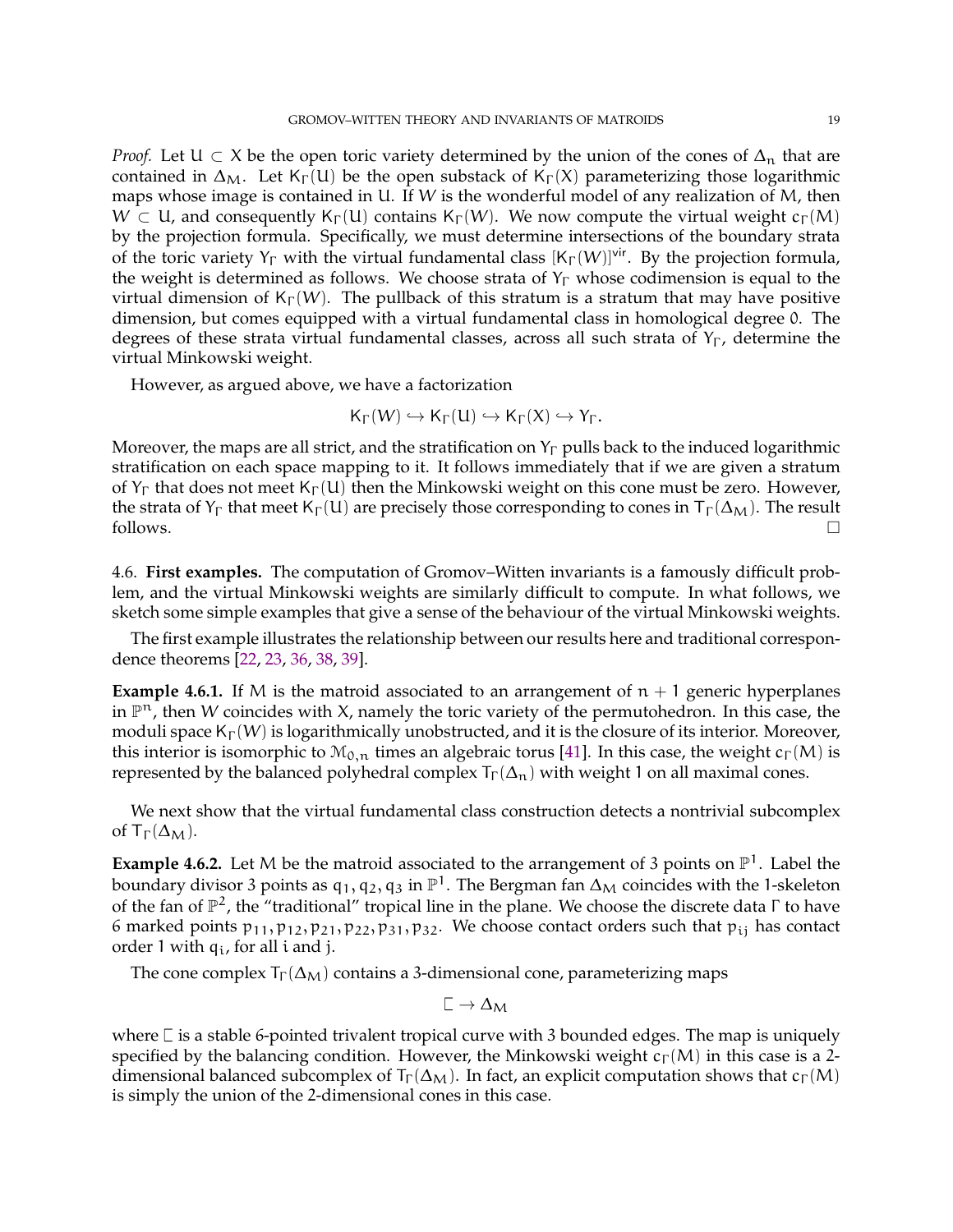<span id="page-18-1"></span>*Proof.* Let  $U \subset X$  be the open toric variety determined by the union of the cones of  $\Delta_n$  that are contained in  $\Delta_M$ . Let K<sub>Γ</sub>(U) be the open substack of K<sub>Γ</sub>(X) parameterizing those logarithmic maps whose image is contained in U. If W is the wonderful model of any realization of M, then  $W \subset U$ , and consequently K<sub>Γ</sub>(U) contains K<sub>Γ</sub>(W). We now compute the virtual weight c<sub>Γ</sub>(M) by the projection formula. Specifically, we must determine intersections of the boundary strata of the toric variety  $Y_{\Gamma}$  with the virtual fundamental class  $[K_{\Gamma}(W)]^{\text{vir}}$ . By the projection formula, the weight is determined as follows. We choose strata of  $Y_{\Gamma}$  whose codimension is equal to the virtual dimension of  $K_{\Gamma}(W)$ . The pullback of this stratum is a stratum that may have positive dimension, but comes equipped with a virtual fundamental class in homological degree 0. The degrees of these strata virtual fundamental classes, across all such strata of  $Y_{\Gamma}$ , determine the virtual Minkowski weight.

However, as argued above, we have a factorization

$$
\mathsf{K}_\Gamma(W)\hookrightarrow \mathsf{K}_\Gamma(U)\hookrightarrow \mathsf{K}_\Gamma(X)\hookrightarrow \mathsf{Y}_\Gamma.
$$

Moreover, the maps are all strict, and the stratification on  $Y_{\Gamma}$  pulls back to the induced logarithmic stratification on each space mapping to it. It follows immediately that if we are given a stratum of  $Y_{\Gamma}$  that does not meet K<sub>Γ</sub>(U) then the Minkowski weight on this cone must be zero. However, the strata of  $Y_{\Gamma}$  that meet  $K_{\Gamma}(U)$  are precisely those corresponding to cones in  $T_{\Gamma}(\Delta_M)$ . The result follows.  $\Box$ 

<span id="page-18-0"></span>4.6. **First examples.** The computation of Gromov–Witten invariants is a famously difficult problem, and the virtual Minkowski weights are similarly difficult to compute. In what follows, we sketch some simple examples that give a sense of the behaviour of the virtual Minkowski weights.

The first example illustrates the relationship between our results here and traditional correspondence theorems [\[22,](#page-21-5) [23,](#page-21-6) [36,](#page-21-30) [38,](#page-21-4) [39\]](#page-22-1).

**Example 4.6.1.** If M is the matroid associated to an arrangement of  $n + 1$  generic hyperplanes in  $\mathbb{P}^n$ , then W coincides with X, namely the toric variety of the permutohedron. In this case, the moduli space  $K_{\Gamma}(W)$  is logarithmically unobstructed, and it is the closure of its interior. Moreover, this interior is isomorphic to  $\mathcal{M}_{0,n}$  times an algebraic torus [\[41\]](#page-22-3). In this case, the weight  $c_{\Gamma}(M)$  is represented by the balanced polyhedral complex  $T_{\Gamma}(\Delta_{\bf n})$  with weight 1 on all maximal cones.

We next show that the virtual fundamental class construction detects a nontrivial subcomplex of  $T_{\Gamma}(\Delta_{\rm M}).$ 

**Example 4.6.2.** Let M be the matroid associated to the arrangement of 3 points on  $\mathbb{P}^1$ . Label the boundary divisor 3 points as  $\mathfrak{q}_1,\mathfrak{q}_2,\mathfrak{q}_3$  in  $\mathbb{P}^1.$  The Bergman fan  $\Delta_\mathsf{M}$  coincides with the 1-skeleton of the fan of  $\mathbb{P}^2$ , the "traditional" tropical line in the plane. We choose the discrete data  $\Gamma$  to have 6 marked points  $p_{11}, p_{12}, p_{21}, p_{22}, p_{31}, p_{32}$ . We choose contact orders such that  $p_{1i}$  has contact order 1 with  $q_i$ , for all i and j.

The cone complex  $T_{\Gamma}(\Delta_{\rm M})$  contains a 3-dimensional cone, parameterizing maps

$$
\mathbb{L}\to \Delta_{\mathcal{M}}
$$

where  $\Box$  is a stable 6-pointed trivalent tropical curve with 3 bounded edges. The map is uniquely specified by the balancing condition. However, the Minkowski weight  $c_{\Gamma}(M)$  in this case is a 2dimensional balanced subcomplex of  $T_{\Gamma}(\Delta_M)$ . In fact, an explicit computation shows that  $c_{\Gamma}(M)$ is simply the union of the 2-dimensional cones in this case.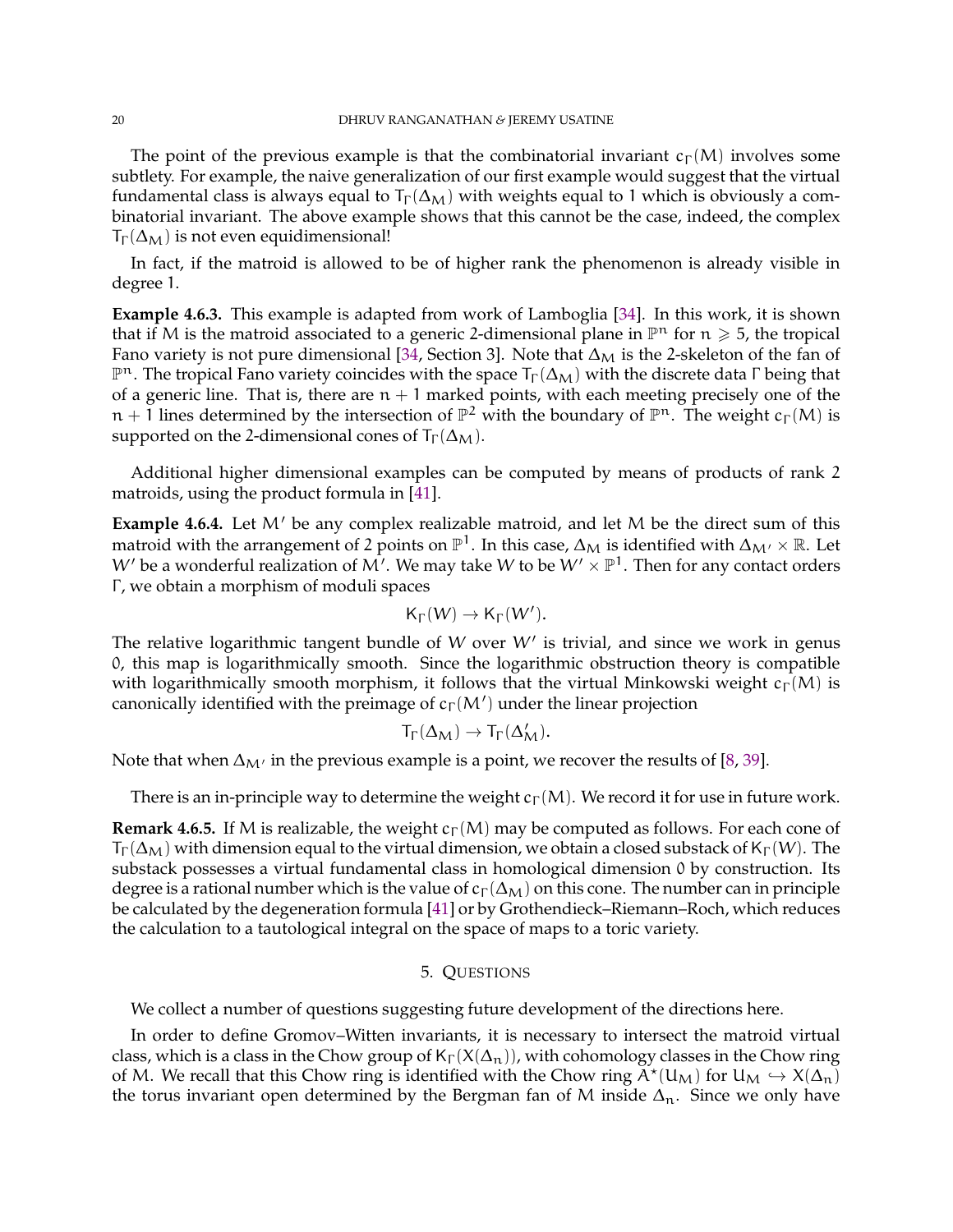<span id="page-19-1"></span>The point of the previous example is that the combinatorial invariant  $c_{\Gamma}(M)$  involves some subtlety. For example, the naive generalization of our first example would suggest that the virtual fundamental class is always equal to  $T_{\Gamma}(\Delta_M)$  with weights equal to 1 which is obviously a combinatorial invariant. The above example shows that this cannot be the case, indeed, the complex  $T_{\Gamma}(\Delta_{\rm M})$  is not even equidimensional!

In fact, if the matroid is allowed to be of higher rank the phenomenon is already visible in degree 1.

**Example 4.6.3.** This example is adapted from work of Lamboglia [\[34\]](#page-21-13). In this work, it is shown that if M is the matroid associated to a generic 2-dimensional plane in  $\mathbb{P}^n$  for  $n \geq 5$ , the tropical Fano variety is not pure dimensional [\[34,](#page-21-13) Section 3]. Note that  $\Delta_M$  is the 2-skeleton of the fan of  $\mathbb{P}^n.$  The tropical Fano variety coincides with the space  $\mathsf{T}_{\Gamma}(\Delta_{\mathsf{M}})$  with the discrete data  $\Gamma$  being that of a generic line. That is, there are  $n + 1$  marked points, with each meeting precisely one of the  $\mathfrak{n}+1$  lines determined by the intersection of  $\mathbb{P}^2$  with the boundary of  $\mathbb{P}^n$ . The weight  $\mathfrak{c}_\Gamma(\mathsf{M})$  is supported on the 2-dimensional cones of  $T_{\Gamma}(\Delta_M)$ .

Additional higher dimensional examples can be computed by means of products of rank 2 matroids, using the product formula in [\[41\]](#page-22-3).

**Example 4.6.4.** Let M′ be any complex realizable matroid, and let M be the direct sum of this matroid with the arrangement of 2 points on  $\mathbb{P}^1.$  In this case,  $\Delta_{\sf M}$  is identified with  $\Delta_{\sf M'}\times\mathbb{R}.$  Let  $W'$  be a wonderful realization of  $\mathsf{M}'$ . We may take  $W$  to be  $W'\times \mathbb{P}^1.$  Then for any contact orders Γ, we obtain a morphism of moduli spaces

$$
\mathsf{K}_\Gamma(W) \to \mathsf{K}_\Gamma(W').
$$

The relative logarithmic tangent bundle of W over W' is trivial, and since we work in genus 0, this map is logarithmically smooth. Since the logarithmic obstruction theory is compatible with logarithmically smooth morphism, it follows that the virtual Minkowski weight  $c_{\Gamma}(M)$  is canonically identified with the preimage of  $c_{\Gamma}(M')$  under the linear projection

$$
T_\Gamma(\Delta_M)\to T_\Gamma(\Delta_M').
$$

Note that when  $\Delta_{M'}$  in the previous example is a point, we recover the results of [\[8,](#page-21-3) [39\]](#page-22-1).

There is an in-principle way to determine the weight  $c_\Gamma(M)$ . We record it for use in future work.

**Remark 4.6.5.** If M is realizable, the weight  $c_{\Gamma}(M)$  may be computed as follows. For each cone of  $T_{\Gamma}(\Delta_{M})$  with dimension equal to the virtual dimension, we obtain a closed substack of K<sub>Γ</sub> (W). The substack possesses a virtual fundamental class in homological dimension 0 by construction. Its degree is a rational number which is the value of  $c_\Gamma(\Delta_M)$  on this cone. The number can in principle be calculated by the degeneration formula [\[41\]](#page-22-3) or by Grothendieck–Riemann–Roch, which reduces the calculation to a tautological integral on the space of maps to a toric variety.

#### 5. QUESTIONS

<span id="page-19-0"></span>We collect a number of questions suggesting future development of the directions here.

In order to define Gromov–Witten invariants, it is necessary to intersect the matroid virtual class, which is a class in the Chow group of  $K_{\Gamma}(X(\Delta_n))$ , with cohomology classes in the Chow ring of M. We recall that this Chow ring is identified with the Chow ring  $\overline{A^*}(U_M)$  for  $U_M \hookrightarrow X(\Delta_n)$ the torus invariant open determined by the Bergman fan of M inside  $\Delta_n$ . Since we only have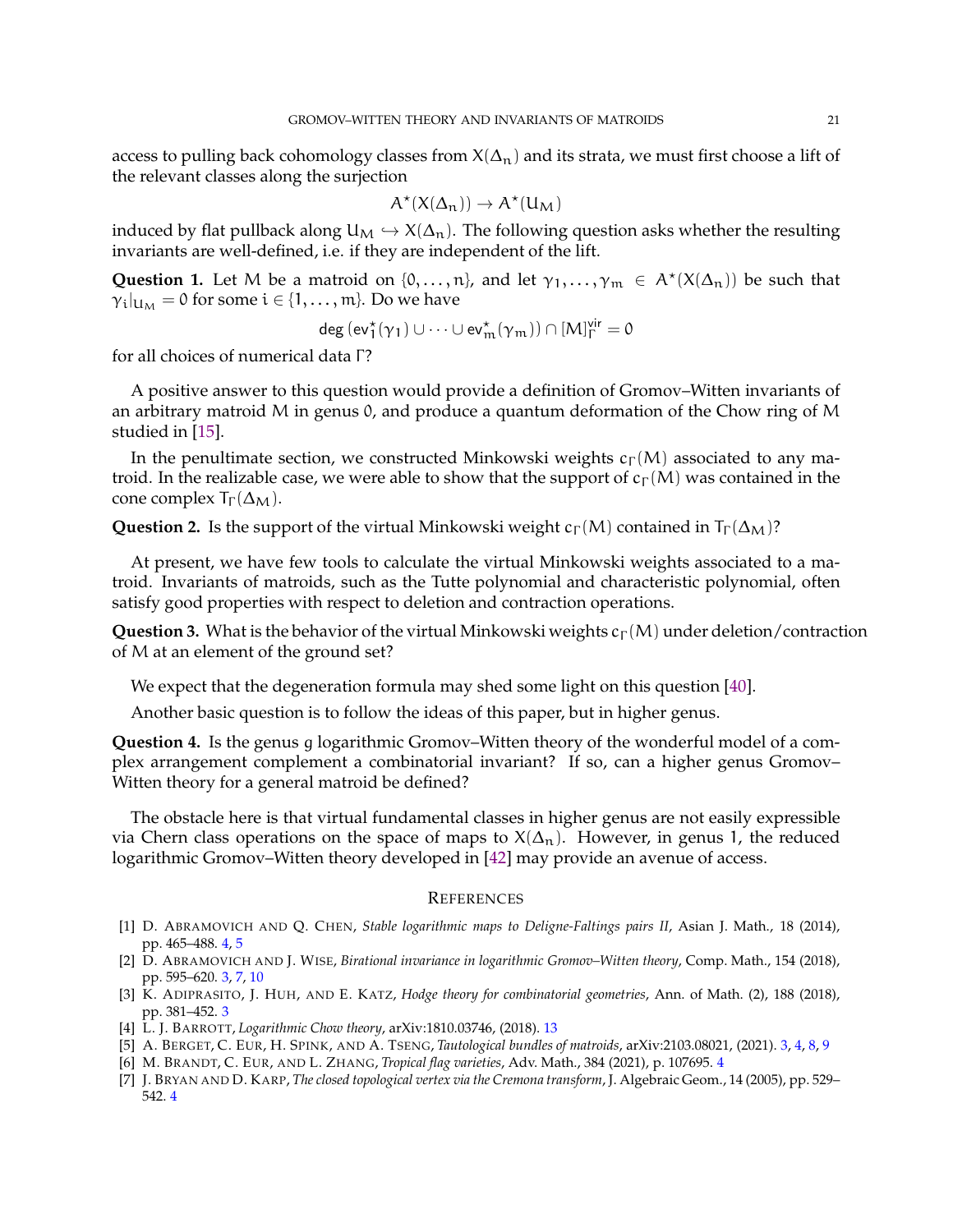<span id="page-20-7"></span>access to pulling back cohomology classes from  $X(\Delta_n)$  and its strata, we must first choose a lift of the relevant classes along the surjection

$$
A^\star(X(\Delta_n))\to A^\star(U_M)
$$

induced by flat pullback along  $U_M \hookrightarrow X(\Delta_n)$ . The following question asks whether the resulting invariants are well-defined, i.e. if they are independent of the lift.

**Question 1.** Let M be a matroid on  $\{0,\ldots,n\}$ , and let  $\gamma_1,\ldots,\gamma_m \in A^*(X(\Delta_n))$  be such that  $\gamma_i|_{U_M} = 0$  for some  $i \in \{1, \dots, m\}$ . Do we have

$$
\mathsf{deg}\,(\mathsf{ev}_1^\star(\gamma_1) \cup \dots \cup \mathsf{ev}_m^\star(\gamma_m)) \cap [M]_\Gamma^\mathsf{vir} = 0
$$

for all choices of numerical data Γ?

A positive answer to this question would provide a definition of Gromov–Witten invariants of an arbitrary matroid M in genus 0, and produce a quantum deformation of the Chow ring of M studied in [\[15\]](#page-21-2).

In the penultimate section, we constructed Minkowski weights  $c<sub>Γ</sub>(M)$  associated to any matroid. In the realizable case, we were able to show that the support of  $c_{\Gamma}(M)$  was contained in the cone complex  $T_{\Gamma}(\Delta_M)$ .

**Question 2.** Is the support of the virtual Minkowski weight  $c_{\Gamma}(M)$  contained in  $T_{\Gamma}(\Delta_M)$ ?

At present, we have few tools to calculate the virtual Minkowski weights associated to a matroid. Invariants of matroids, such as the Tutte polynomial and characteristic polynomial, often satisfy good properties with respect to deletion and contraction operations.

**Question 3.** What is the behavior of the virtual Minkowski weights  $c_{\Gamma}(M)$  under deletion/contraction of M at an element of the ground set?

We expect that the degeneration formula may shed some light on this question [\[40\]](#page-22-2).

Another basic question is to follow the ideas of this paper, but in higher genus.

**Question 4.** Is the genus g logarithmic Gromov–Witten theory of the wonderful model of a complex arrangement complement a combinatorial invariant? If so, can a higher genus Gromov– Witten theory for a general matroid be defined?

The obstacle here is that virtual fundamental classes in higher genus are not easily expressible via Chern class operations on the space of maps to  $X(\Delta_n)$ . However, in genus 1, the reduced logarithmic Gromov–Witten theory developed in [\[42\]](#page-22-10) may provide an avenue of access.

#### **REFERENCES**

- <span id="page-20-5"></span>[1] D. ABRAMOVICH AND Q. CHEN, *Stable logarithmic maps to Deligne-Faltings pairs II*, Asian J. Math., 18 (2014), pp. 465–488. [4,](#page-3-1) [5](#page-4-0)
- <span id="page-20-0"></span>[2] D. ABRAMOVICH AND J. WISE, *Birational invariance in logarithmic Gromov–Witten theory*, Comp. Math., 154 (2018), pp. 595–620. [3,](#page-2-0) [7,](#page-6-2) [10](#page-9-3)
- <span id="page-20-1"></span>[3] K. ADIPRASITO, J. HUH, AND E. KATZ, *Hodge theory for combinatorial geometries*, Ann. of Math. (2), 188 (2018), pp. 381–452. [3](#page-2-0)
- <span id="page-20-6"></span><span id="page-20-2"></span>[4] L. J. BARROTT, *Logarithmic Chow theory*, arXiv:1810.03746, (2018). [13](#page-12-2)
- <span id="page-20-3"></span>[5] A. BERGET, C. EUR, H. SPINK, AND A. TSENG, *Tautological bundles of matroids*, arXiv:2103.08021, (2021). [3,](#page-2-0) [4,](#page-3-1) [8,](#page-7-2) [9](#page-8-2)
- <span id="page-20-4"></span>[6] M. BRANDT, C. EUR, AND L. ZHANG, *Tropical flag varieties*, Adv. Math., 384 (2021), p. 107695. [4](#page-3-1)
- [7] J. BRYAN AND D. KARP, *The closed topological vertex via the Cremona transform*, J. Algebraic Geom., 14 (2005), pp. 529– 542. [4](#page-3-1)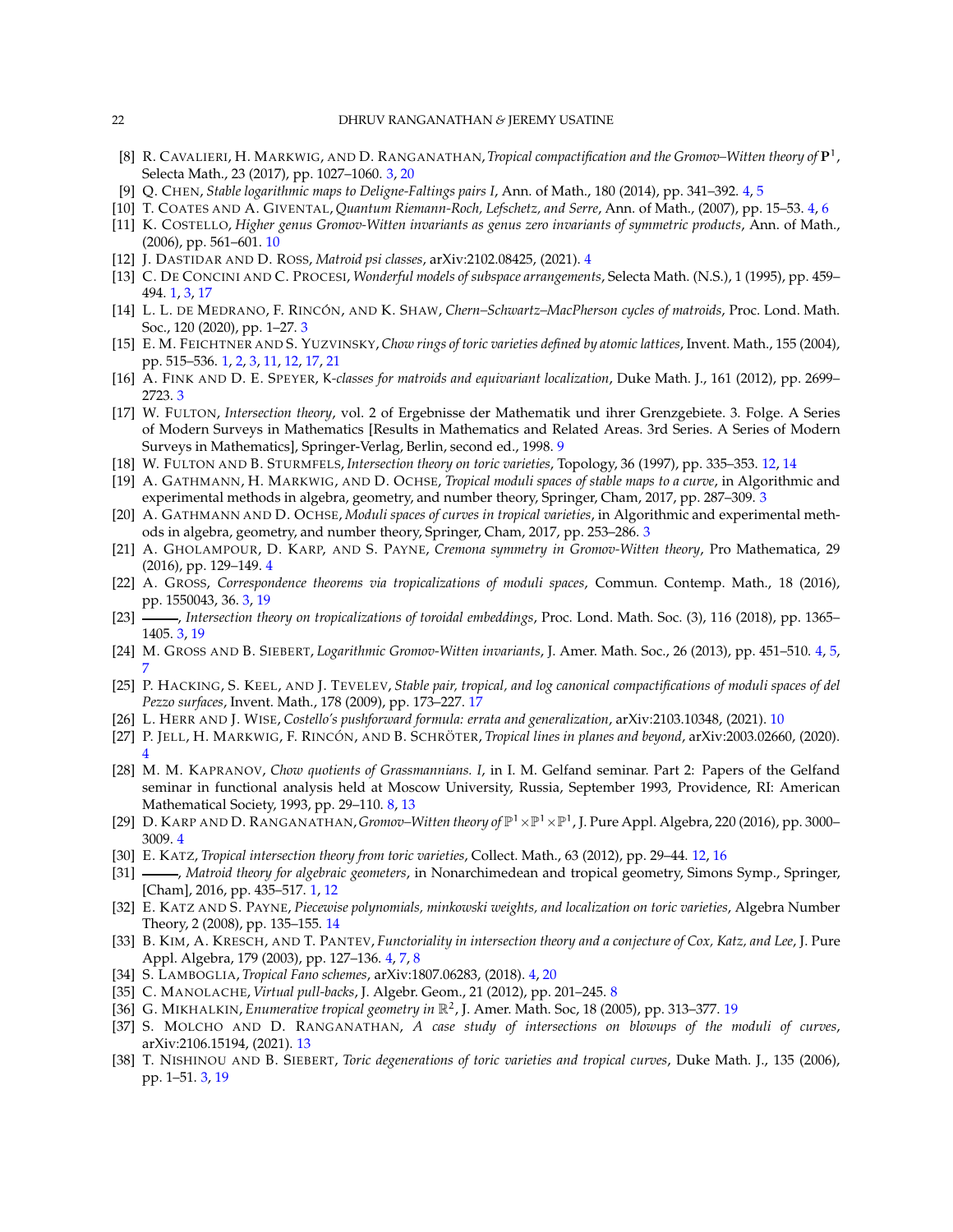- <span id="page-21-3"></span>[8] R. CAVALIERI, H. MARKWIG, AND D. RANGANATHAN,*Tropical compactification and the Gromov–Witten theory of* P 1 , Selecta Math., 23 (2017), pp. 1027–1060. [3,](#page-2-0) [20](#page-19-1)
- <span id="page-21-18"></span><span id="page-21-16"></span>[9] Q. CHEN, *Stable logarithmic maps to Deligne-Faltings pairs I*, Ann. of Math., 180 (2014), pp. 341–392. [4,](#page-3-1) [5](#page-4-0)
- <span id="page-21-23"></span>[10] T. COATES AND A. GIVENTAL, *Quantum Riemann-Roch, Lefschetz, and Serre*, Ann. of Math., (2007), pp. 15–53. [4,](#page-3-1) [6](#page-5-1)
- [11] K. COSTELLO, *Higher genus Gromov-Witten invariants as genus zero invariants of symmetric products*, Ann. of Math., (2006), pp. 561–601. [10](#page-9-3)
- <span id="page-21-11"></span><span id="page-21-1"></span>[12] J. DASTIDAR AND D. ROSS, *Matroid psi classes*, arXiv:2102.08425, (2021). [4](#page-3-1)
- <span id="page-21-9"></span>[13] C. DE CONCINI AND C. PROCESI, *Wonderful models of subspace arrangements*, Selecta Math. (N.S.), 1 (1995), pp. 459– 494. [1,](#page-0-1) [3,](#page-2-0) [17](#page-16-0)
- [14] L. L. DE MEDRANO, F. RINCÓN, AND K. SHAW, *Chern–Schwartz–MacPherson cycles of matroids*, Proc. Lond. Math. Soc., 120 (2020), pp. 1–27. [3](#page-2-0)
- <span id="page-21-2"></span>[15] E. M. FEICHTNER AND S. YUZVINSKY, *Chow rings of toric varieties defined by atomic lattices*, Invent. Math., 155 (2004), pp. 515–536. [1,](#page-0-1) [2,](#page-1-2) [3,](#page-2-0) [11,](#page-10-1) [12,](#page-11-0) [17,](#page-16-0) [21](#page-20-7)
- <span id="page-21-22"></span><span id="page-21-10"></span>[16] A. FINK AND D. E. SPEYER, K*-classes for matroids and equivariant localization*, Duke Math. J., 161 (2012), pp. 2699– 2723. [3](#page-2-0)
- [17] W. FULTON, *Intersection theory*, vol. 2 of Ergebnisse der Mathematik und ihrer Grenzgebiete. 3. Folge. A Series of Modern Surveys in Mathematics [Results in Mathematics and Related Areas. 3rd Series. A Series of Modern Surveys in Mathematics], Springer-Verlag, Berlin, second ed., 1998. [9](#page-8-2)
- <span id="page-21-25"></span><span id="page-21-7"></span>[18] W. FULTON AND B. STURMFELS, *Intersection theory on toric varieties*, Topology, 36 (1997), pp. 335–353. [12,](#page-11-0) [14](#page-13-0)
- [19] A. GATHMANN, H. MARKWIG, AND D. OCHSE, *Tropical moduli spaces of stable maps to a curve*, in Algorithmic and experimental methods in algebra, geometry, and number theory, Springer, Cham, 2017, pp. 287–309. [3](#page-2-0)
- <span id="page-21-8"></span>[20] A. GATHMANN AND D. OCHSE, *Moduli spaces of curves in tropical varieties*, in Algorithmic and experimental methods in algebra, geometry, and number theory, Springer, Cham, 2017, pp. 253–286. [3](#page-2-0)
- <span id="page-21-14"></span>[21] A. GHOLAMPOUR, D. KARP, AND S. PAYNE, *Cremona symmetry in Gromov-Witten theory*, Pro Mathematica, 29 (2016), pp. 129–149. [4](#page-3-1)
- <span id="page-21-5"></span>[22] A. GROSS, *Correspondence theorems via tropicalizations of moduli spaces*, Commun. Contemp. Math., 18 (2016), pp. 1550043, 36. [3,](#page-2-0) [19](#page-18-1)
- <span id="page-21-6"></span>[23] , *Intersection theory on tropicalizations of toroidal embeddings*, Proc. Lond. Math. Soc. (3), 116 (2018), pp. 1365– 1405. [3,](#page-2-0) [19](#page-18-1)
- <span id="page-21-29"></span><span id="page-21-19"></span>[24] M. GROSS AND B. SIEBERT, *Logarithmic Gromov-Witten invariants*, J. Amer. Math. Soc., 26 (2013), pp. 451–510. [4,](#page-3-1) [5,](#page-4-0) [7](#page-6-2)
- [25] P. HACKING, S. KEEL, AND J. TEVELEV, *Stable pair, tropical, and log canonical compactifications of moduli spaces of del Pezzo surfaces*, Invent. Math., 178 (2009), pp. 173–227. [17](#page-16-0)
- <span id="page-21-24"></span><span id="page-21-12"></span>[26] L. HERR AND J. WISE, *Costello's pushforward formula: errata and generalization*, arXiv:2103.10348, (2021). [10](#page-9-3)
- <span id="page-21-21"></span>[27] P. JELL, H. MARKWIG, F. RINCÓN, AND B. SCHRÖTER, *Tropical lines in planes and beyond*, arXiv:2003.02660, (2020). [4](#page-3-1)
- [28] M. M. KAPRANOV, *Chow quotients of Grassmannians. I*, in I. M. Gelfand seminar. Part 2: Papers of the Gelfand seminar in functional analysis held at Moscow University, Russia, September 1993, Providence, RI: American Mathematical Society, 1993, pp. 29–110. [8,](#page-7-2) [13](#page-12-2)
- <span id="page-21-26"></span><span id="page-21-15"></span>[29] D. KARP AND D. RANGANATHAN,*Gromov–Witten theory of* P <sup>1</sup>×P <sup>1</sup>×P 1 , J. Pure Appl. Algebra, 220 (2016), pp. 3000– 3009. [4](#page-3-1)
- <span id="page-21-0"></span>[30] E. KATZ, *Tropical intersection theory from toric varieties*, Collect. Math., 63 (2012), pp. 29–44. [12,](#page-11-0) [16](#page-15-3)
- [31]  $\_\_\_\$ n Matroid theory for algebraic geometers, in Nonarchimedean and tropical geometry, Simons Symp., Springer, [Cham], 2016, pp. 435–517. [1,](#page-0-1) [12](#page-11-0)
- <span id="page-21-28"></span>[32] E. KATZ AND S. PAYNE, *Piecewise polynomials, minkowski weights, and localization on toric varieties*, Algebra Number Theory, 2 (2008), pp. 135–155. [14](#page-13-0)
- <span id="page-21-17"></span>[33] B. KIM, A. KRESCH, AND T. PANTEV, *Functoriality in intersection theory and a conjecture of Cox, Katz, and Lee*, J. Pure Appl. Algebra, 179 (2003), pp. 127–136. [4,](#page-3-1) [7,](#page-6-2) [8](#page-7-2)
- <span id="page-21-20"></span><span id="page-21-13"></span>[34] S. LAMBOGLIA, *Tropical Fano schemes*, arXiv:1807.06283, (2018). [4,](#page-3-1) [20](#page-19-1)
- <span id="page-21-30"></span>[35] C. MANOLACHE, *Virtual pull-backs*, J. Algebr. Geom., 21 (2012), pp. 201–245. [8](#page-7-2)
- <span id="page-21-27"></span>[36] G. MIKHALKIN, *Enumerative tropical geometry in* R 2 , J. Amer. Math. Soc, 18 (2005), pp. 313–377. [19](#page-18-1)
- [37] S. MOLCHO AND D. RANGANATHAN, *A case study of intersections on blowups of the moduli of curves*, arXiv:2106.15194, (2021). [13](#page-12-2)
- <span id="page-21-4"></span>[38] T. NISHINOU AND B. SIEBERT, *Toric degenerations of toric varieties and tropical curves*, Duke Math. J., 135 (2006), pp. 1–51. [3,](#page-2-0) [19](#page-18-1)